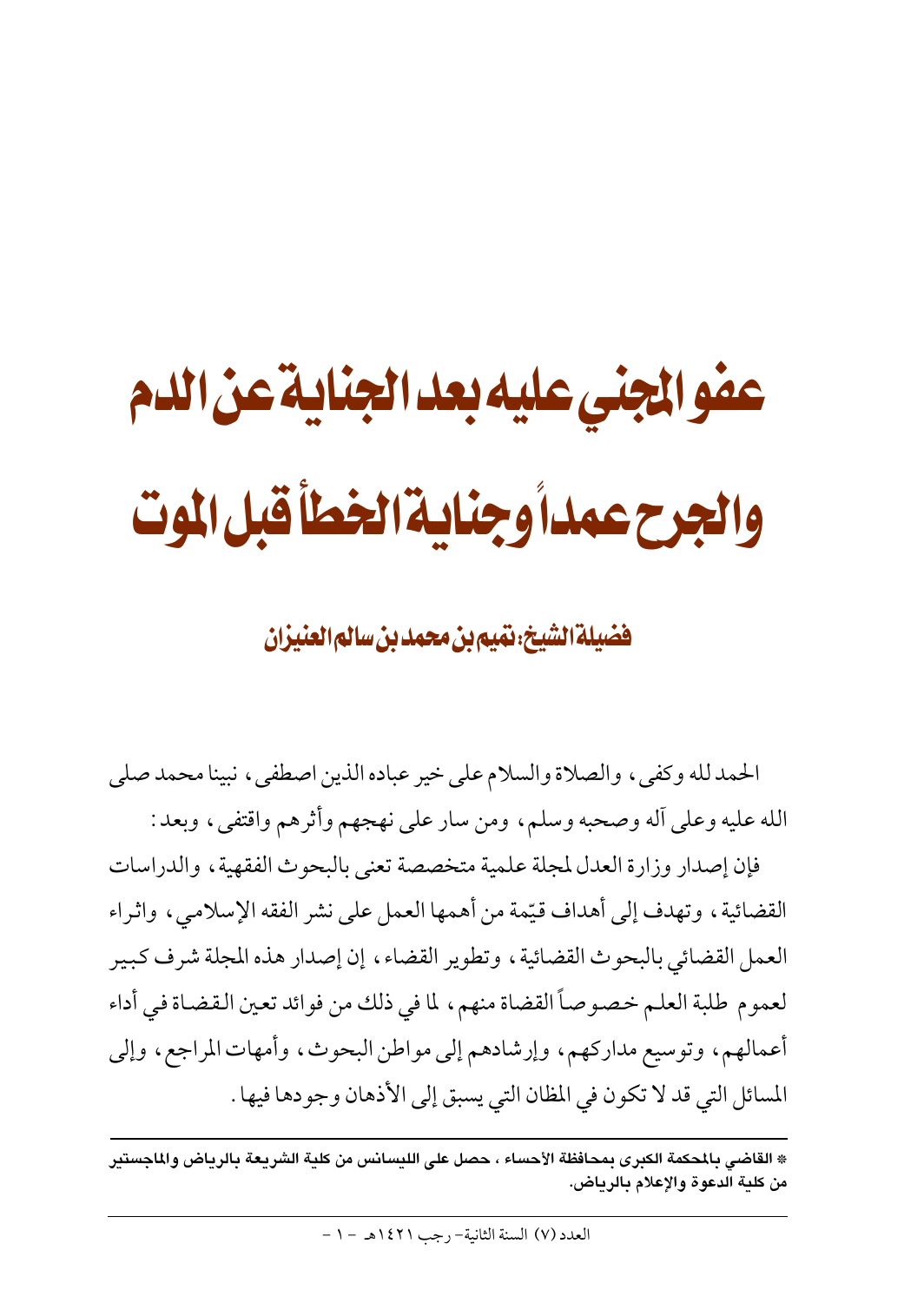# عفو الجني عليه بعد الجناية عن الدم والجرح عمداً وجناية الخطأ قبل الموت

فضيلة الشيخ، نَهيم بن محمد بن سالم العنيزان

الحمد لله وكفي ، والصلاة والسلام على خير عباده الذين اصطفى ، نبينا محمد صلى الله عليه وعلى أله وصحبه وسلم، ومن سار على نهجهم وأثرهم واقتفى، وبعد :

فإن إصدار وزارة العدل لمجلة علمية متخصصة تعنى بالبحوث الفقهية ، والدراسات القضائية، وتهدف إلى أهداف قيِّمة من أهمها العمل على نشر الفقه الإسلامي، واثراء العمل القضائي بالبحوث القضائية ، وتطوير القضاء ، إن إصدار هذه المجلة شرف كبير لعموم طلبة العلم خصوصاً القضاة منهم، لما في ذلك من فوائد تعين القضاة في أداء أعمالهم، وتوسيع مداركهم، وإرشادهم إلى مواطن البحوث، وأمهات المراجع، وإلى المسائل التي قد لا تكون في المظان التي يسبق إلى الأذهان وجودها فيها .

<sup>\*</sup> القاضى بالمحكمة الكبرى بمحافظة الأحساء ، حصل على الليسانس من كلية الشريعة بالرياض والماجستير من كلية الدعوة والإعلام بالرياض.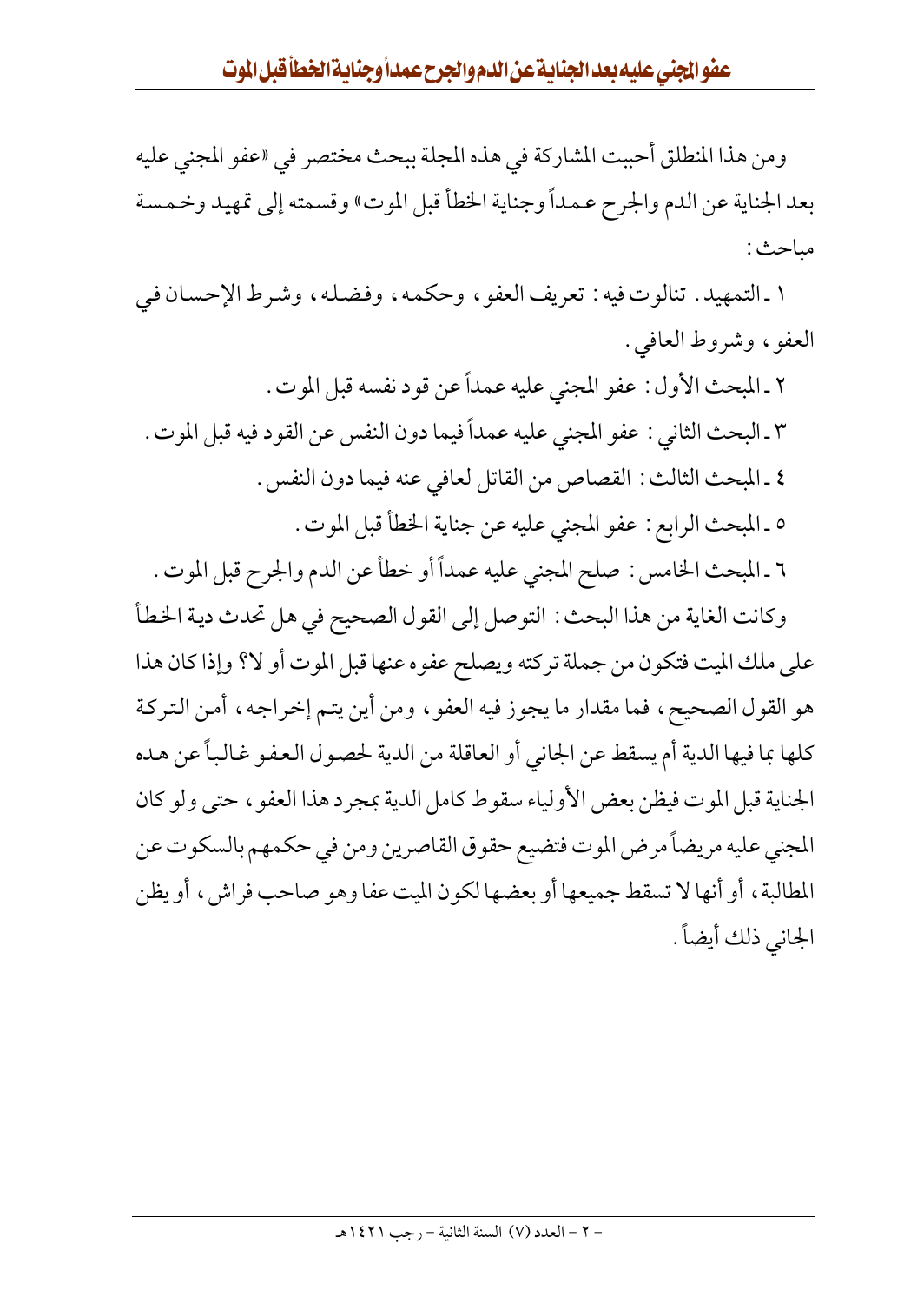ومن هذا المنطلق أحببت المشاركة في هذه المجلة ببحث مختصر في «عفو المجنى عليه بعد الجناية عن الدم والجرح عمداً وجناية الخطأ قبل الموت» وقسمته إلى تمهيد وخمسة مباحث:

١ ـ التمهيد . تنالوت فيه : تعريف العفو ، وحكمه ، وفضله ، وشرط الإحسان في العفو ، وشروط العافي .

٢ ـ المبحث الأول : عفو المجني عليه عمداً عن قود نفسه قبل الموت . ٣ ـ البحث الثاني : عفو المجني عليه عمداً فيما دون النفس عن القود فيه قبل الموت . ٤ ـ المبحث الثالث : القصاص من القاتل لعافي عنه فيما دون النفس . ٥ ـ المبحث الرابع : عفو المجنى عليه عن جناية الخطأ قبل الموت . ٦ ـ المبحث الخامس : صلح المجنى عليه عمداً أو خطأ عن الدم والجرح قبل الموت . وكانت الغاية من هذا البحث : التوصل إلى القول الصحيح في هل تحدث دية الخطأ على ملك الميت فتكون من جملة تركته ويصلح عفوه عنها قبل الموت أو لا؟ وإذا كان هذا هو القول الصحيح، فما مقدار ما يجوز فيه العفو ، ومن أين يتم إخراجه ، أمن التركة كلها بما فيها الدية أم يسقط عن الجاني أو العاقلة من الدية لحصول العفو غالباً عن هده الجناية قبل الموت فيظن بعض الأولياء سقوط كامل الدية بمجرد هذا العفو ، حتى ولو كان المجنى عليه مريضاً مرض الموت فتضيع حقوق القاصرين ومن في حكمهم بالسكوت عن المطالبة، أو أنها لا تسقط جميعها أو بعضها لكون الميت عفا وهو صاحب فراش، أو يظن الجاني ذلك أيضاً .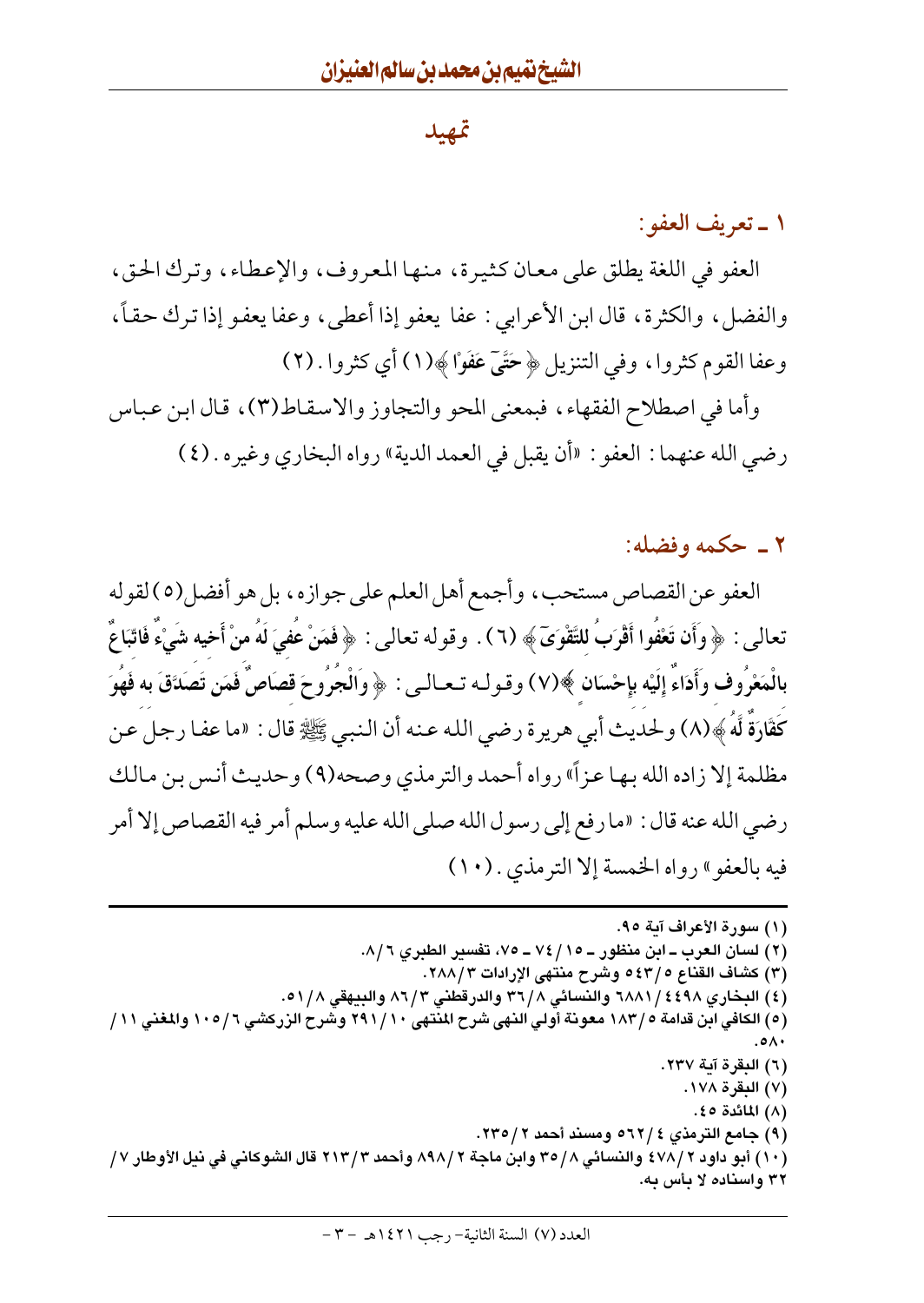#### تمهيد

#### ١ ـ تعريف العفو:

العفو في اللغة يطلق على معان كثيرة، منها المعروف، والإعطاء، وترك الحق، والفضل، والكثرة، قال ابن الأعرابي : عفا يعفو إذا أعطي، وعفا يعفو إذا ترك حقاً، وعفا القوم كثروا، وفي التنزيل ﴿ حَتَّىٓ عَفَوْا﴾(١) أي كثروا . (٢)

وأما في اصطلاح الفقهاء، فبمعنى المحو والتجاوز والاسقاط(٣)، قال ابن عباس رضي الله عنهما : العفو : «أن يقبل في العمد الدية» رواه البخاري وغيره . (٤)

۲ ـ حکمه وفضله:

العفو عن القصاص مستحب، وأجمع أهل العلم على جوازه، بل هو أفضل(٥) لقوله تعالى : ﴿ وَأَن تَعْفُوا أَقْرَبُ لِلتَّقْوَىَ﴾ (٦) . وقوله تعالى : ﴿ فَمَنْ عَفَىَ لَهُ منْ أَخِيه شَيْءٌ فَاتّبَاعٌ بالْمَعْرُوف وَأَدَاءَ إِلَيْه بِإِحْسَانٍ ﴾(٧) وقولـه تـعـالـي : ﴿ وَالْجَرُوحَ قصَاصٌ فَمَن تَصَدَّقَ به فَهُوَ كَفَّارَةٌ لَّهُ ﴾(٨) ولحديث أبي هريرة رضي الله عنه أن النبي ﷺ قال : «ما عفا رجل عن مظلمة إلا زاده الله بها عزاً» رواه أحمد والترمذي وصحه(٩) وحديث أنس بن مالك رضي الله عنه قال : «ما رفع إلى رسول الله صلى الله عليه وسلم أمر فيه القصاص إلا أمر فيه بالعفوِ» رواه الخمسة إلا الترمذي . (١٠)

(١) سورة الأعراف آية ٩٥. (٢) لسان العرب ــ ابن منظور ــ ٧٤/١٥ ــ ٧٥، تفسير الطبري ٨/٦. (٣) كشاف القناع ٤٣/٥ وشرح منتهي الإرادات ٢٨٨/٣. (٤) البخاري ٢٤٩٨ / ٦٨٨١ والنسائي ٣٦/٨ والدرقطني ٨٦/٣ والبيهقي ٥١/٨. (٥) الكافي ابن قدامة ٥ / ١٨٣ معونة أولى النهي شرح المنتهي ٢٩١/١٠ وشرح الزركشي ١٠٥/ ١٠٥ والمغني ١١/ ۰۵۸۰. (٦) البقرة آية ٢٣٧. (٧) البقرة ١٧٨. (۸) المائدة ٤٥. (۹) جامع الترمذي ٢٢/٤ه ومسند أحمد ٢٣٥/٢. (١٠ ) أبو داود ٢ /٤٧٨ والنسائي ٣٥/٨ وابن ماجة ٢ /٨٩٨ وأحمد ٢ /٢١٣ قال الشوكاني في نيل الأوطار ٧ / ۳۲ واسناده لا بأس به.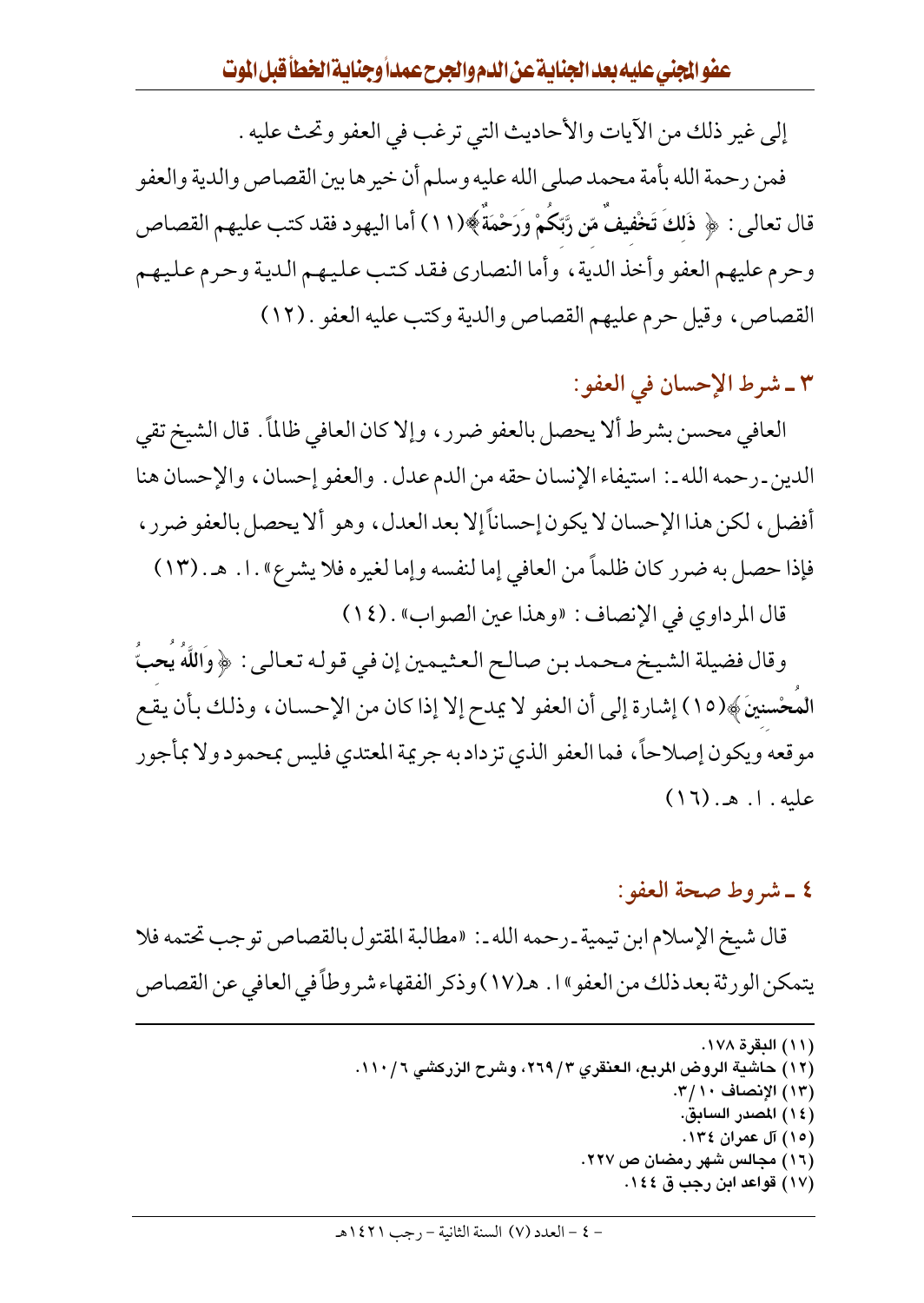إلى غير ذلك من الآيات والأحاديث التي ترغب في العفو وتحث عليه .

فمن رحمة الله بأمة محمد صلى الله عليه وسلم أن خيرها بين القصاص والدية والعفو قال تعالى : ﴿ ذَلِكَ تَخْفِيفٌ مّنِ رَّبِّكُمْ وَرَحْمَةً﴾(١١) أما اليهو د فقد كتب عليهم القصاص وحرم عليهم العفو وأخذ الدية ، وأما النصاري فقد كتب عليهم الدية وحرم عليهم القصاص، وقيل حرم عليهم القصاص والدية وكتب عليه العفو . (١٢)

#### ٣ ـ شرط الإحسان في العفو:

العافي محسن بشرط ألا يحصل بالعفو ضرر ، وإلا كان العافي ظالمًا . قال الشيخ تقى الدين ـ رحمه الله ـ : استيفاء الإنسان حقه من الدم عدل . والعفو إحسان ، والإحسان هنا أفضل، لكن هذا الإحسان لا يكون إحساناً إلا بعد العدل، وهو ألا يحصل بالعفو ضرر، فإذا حصل به ضرر كان ظلماً من العافي إما لنفسه وإما لغيره فلا يشرع» . ا . هـ . (١٣) قال المرداوي في الإنصاف: «وهذا عين الصواب» . (١٤)

وقال فضيلة الشيخ محمد بن صالح العثيمين إن في قوله تعالى : ﴿ وَاللَّهُ يُحبُّ المُعْسنينَ﴾(١٥) إشارة إلى أن العفو لا يمدح إلا إذا كان من الإحسان، وذلك بأن يقع مو قعه ويكون إصلاحاً، فما العفو الذي تز داد به جريمة المعتدي فليس بمحمو د ولا بمأجو ر عليه. ١. هـ. (١٦)

## ٤ ـ شروط صحة العفو : قال شيخ الإسلام ابن تيمية ـ رحمه الله ـ : «مطالبة المقتول بالقصاص توجب تحتمه فلا يتمكن الورثة بعد ذلك من العفو "ا . هـ(١٧) وذكر الفقهاء شروطاً في العافي عن القصاص

(١١) البقرة ١٧٨. (١٢) حاشية الروض المربع، العنقري ٢٦٩/٣، وشرح الزركشي ١١٠/٦. (١٣) الإنصاف ٢/١٠. (١٤) المصدر السابق. (١٥) آل عمران ١٣٤. (١٦) مجالس شهر رمضان ص ٢٢٧. (١٧) قواعد ابن رجب ق ١٤٤.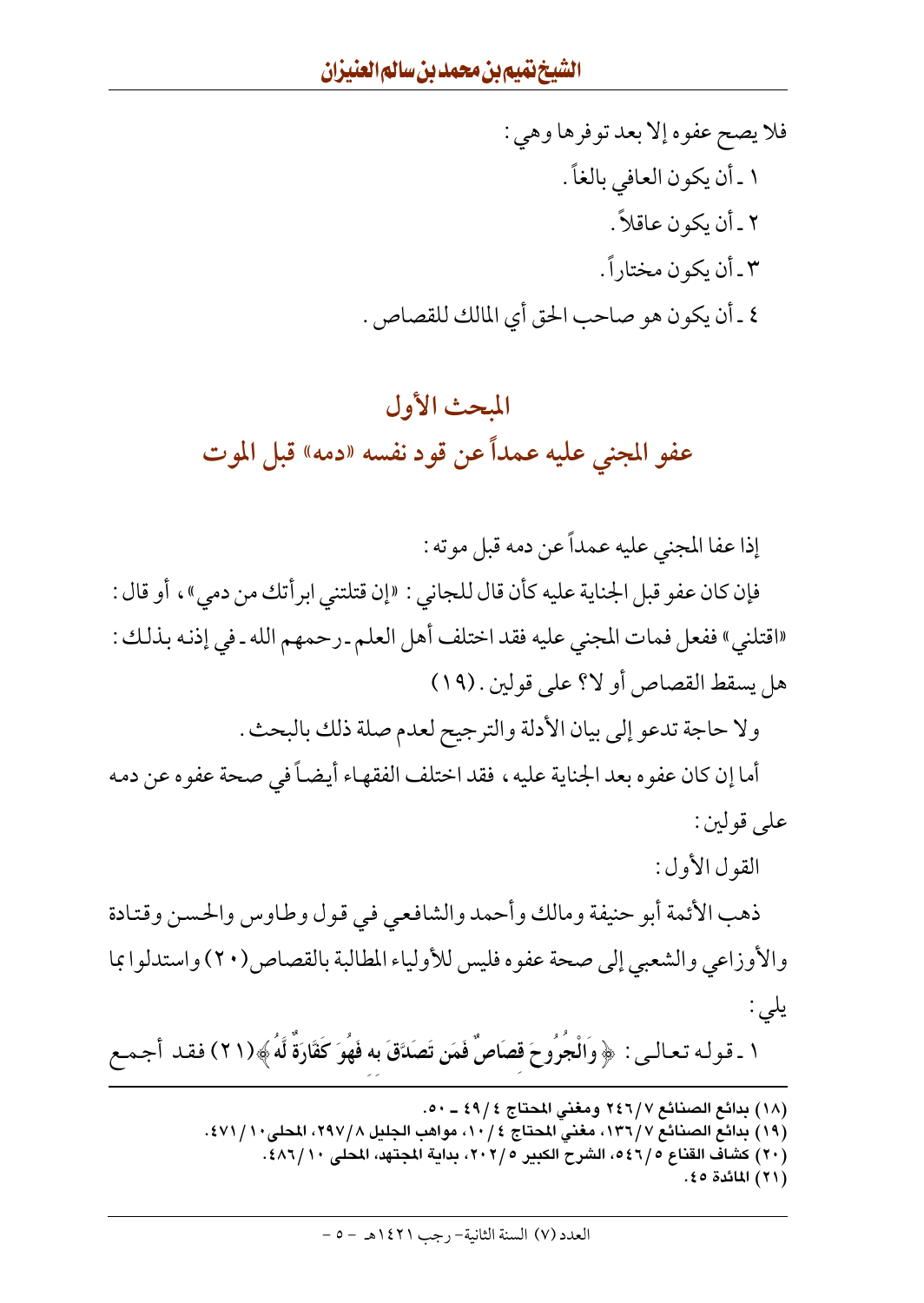فلا يصح عفوه إلا بعد توفرها وهي : ١ ـ أن يكون العافي بالغاً . ٢ ـ أن يكون عاقلاً . ٣ ـ أن يكون مختاراً . ٤ ـ أن يكون هو صاحب الحق أي المالك للقصاص .

# المحث الأول عفو المجنى عليه عمداً عن قود نفسه «دمه» قبل الموت

إذا عفا المجنى عليه عمداً عن دمه قبل موته :

فإن كان عفو قبل الجناية عليه كأن قال للجاني : «إن قتلتني ابرأتك من دمي»، أو قال : «اقتلني» ففعل فمات المجنى عليه فقد اختلف أهل العلم ـ رحمهم الله ـ في إذنه بذلك : هل يسقط القصاص أو لا؟ على قولين . (١٩)

ولا حاجة تدعو إلى بيان الأدلة والترجيح لعدم صلة ذلك بالبحث .

أما إن كان عفوه بعد الجناية عليه ، فقد اختلف الفقهاء أيضاً في صحة عفوه عن دمه على قولين :

القول الأول:

ذهب الأئمة أبو حنيفة ومالك وأحمد والشافعي في قول وطاوس والحسن وقتادة والأوزاعي والشعبي إلى صحة عفوه فليس للأولياء المطالبة بالقصاص(٢٠) واستدلوا بما یلی :

١ ـ قوله تعالـى : ﴿ وَالْجُرُوحَ قصَاصٌ فَمَن تَصَدَّقَ به فَهُوَ كَفَّارَةٌ لَّهُ ﴾(٢١) فقد أجمع

- (١٨) بدائع الصنائع ٢٤٦/٧ ومغني المحتاج ٤٩/٤ ـ ٥٠. (١٩) بدائع الصنائع ١٣٦/٧، مغنى المحتاج ١٠/٤، مواهب الجليل ٢٩٧/٨، المحلي١٠/ ٤٧١. (٢٠) كشاف القناع ٥٤٦/٥، الشرح الكبير ٢٠٢/٥، بداية المجتهد، المحلي ١٠/٢٨٦.
	- (٢١) المائدة ٥٤.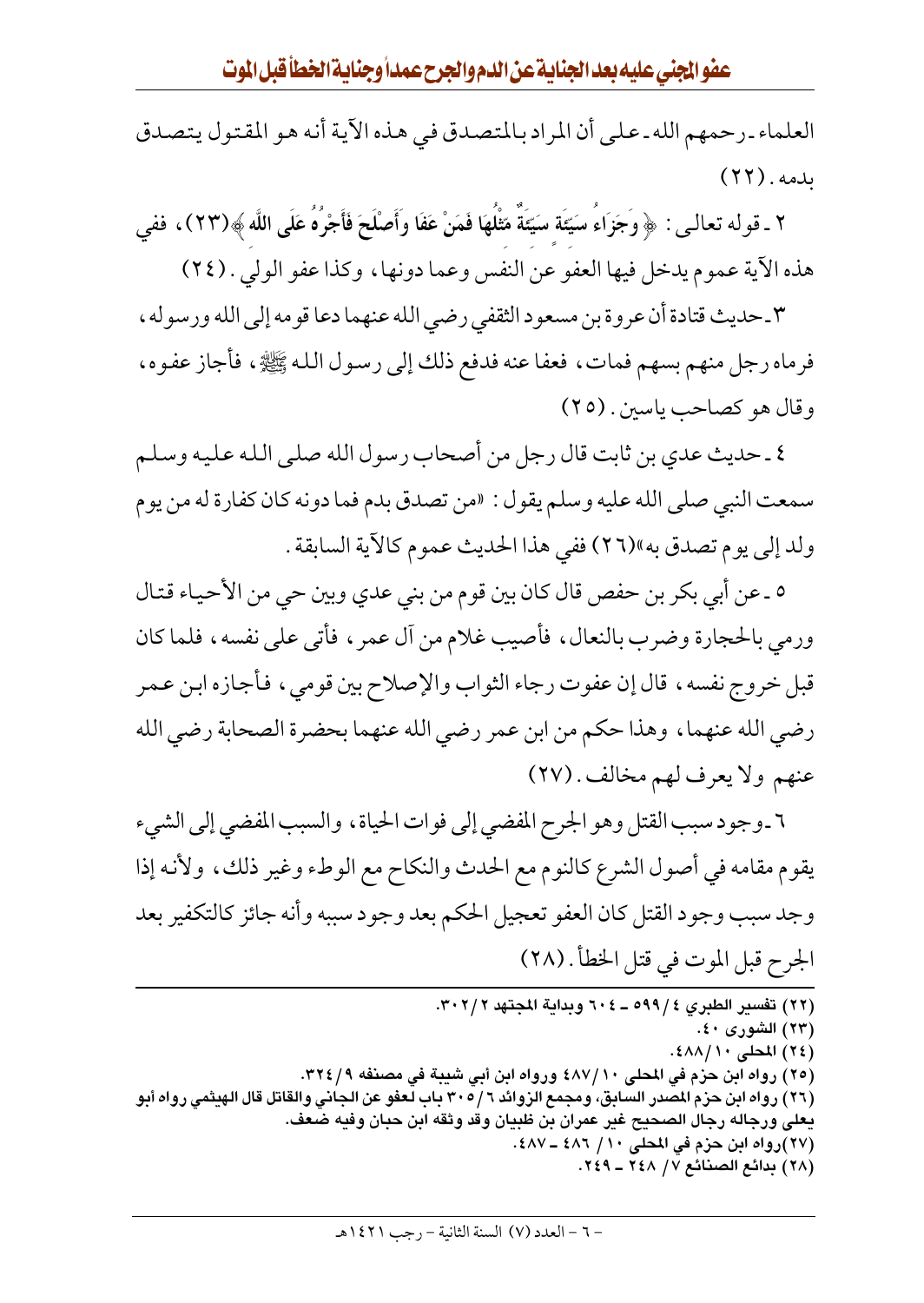العلماء ـ رحمهم الله ـ على أن المراد بالمتصدق في هذه الآية أنه هو المقتول يتصدق بدمه. (٢٢)

٢ ـ قوله تعالـى : ﴿ وَجَزَاءُ سَيِّئَةَ سَيِّئَةٌ مَّثْلُهَا فَمَنْ عَفَا وأَصْلَحَ فَأَجْرُهُ عَلَى اللَّه ﴾(٢٣) ، ففي هذه الآية عموم يدخل فيها العفو عن النفس وعما دونها، وكذا عفو الولي . (٢٤)

٣ ـ حديث قتادة أن عروة بن مسعود الثقفي رضي الله عنهما دعا قومه إلى الله ورسوله ، فرماه رجل منهم بسهم فمات، فعفا عنه فدفع ذلك إلى رسول الله ﷺ، فأجاز عفوه، وقال هو كصاحب ياسين . (٢٥)

٤ ـ حديث عدي بن ثابت قال رجل من أصحاب رسول الله صلى الله عليه وسلم سمعت النبي صلى الله عليه وسلم يقول : «من تصدق بدم فما دونه كان كفارة له من يوم ولد إلى يوم تصدق به»(٢٦) ففي هذا الحديث عموم كالآية السابقة .

٥ ـ عن أبي بكر بن حفص قال كان بين قوم من بني عدي وبين حي من الأحياء قتال ورمي بالحجارة وضرب بالنعال، فأصيب غلام من أل عمر ، فأتى على نفسه، فلما كان قبل خروج نفسه، قال إن عفوت رجاء الثواب والإصلاح بين قومي، فأجازه ابن عمر رضي الله عنهما، وهذا حكم من ابن عمر رضي الله عنهما بحضرة الصحابة رضي الله عنهم ولا يعرف لهم مخالف . (٢٧)

٦ ـ وجود سبب القتل وهو الجرح المفضى إلى فوات الحياة ، والسبب المفضى إلى الشيء يقوم مقامه في أصول الشرع كالنوم مع الحدث والنكاح مع الوطء وغير ذلك، ولأنه إذا وجد سبب وجود القتل كان العفو تعجيل الحكم بعد وجود سببه وأنه جائز كالتكفير بعد الجرح قبل الموت في قتل الخطأ . (٢٨)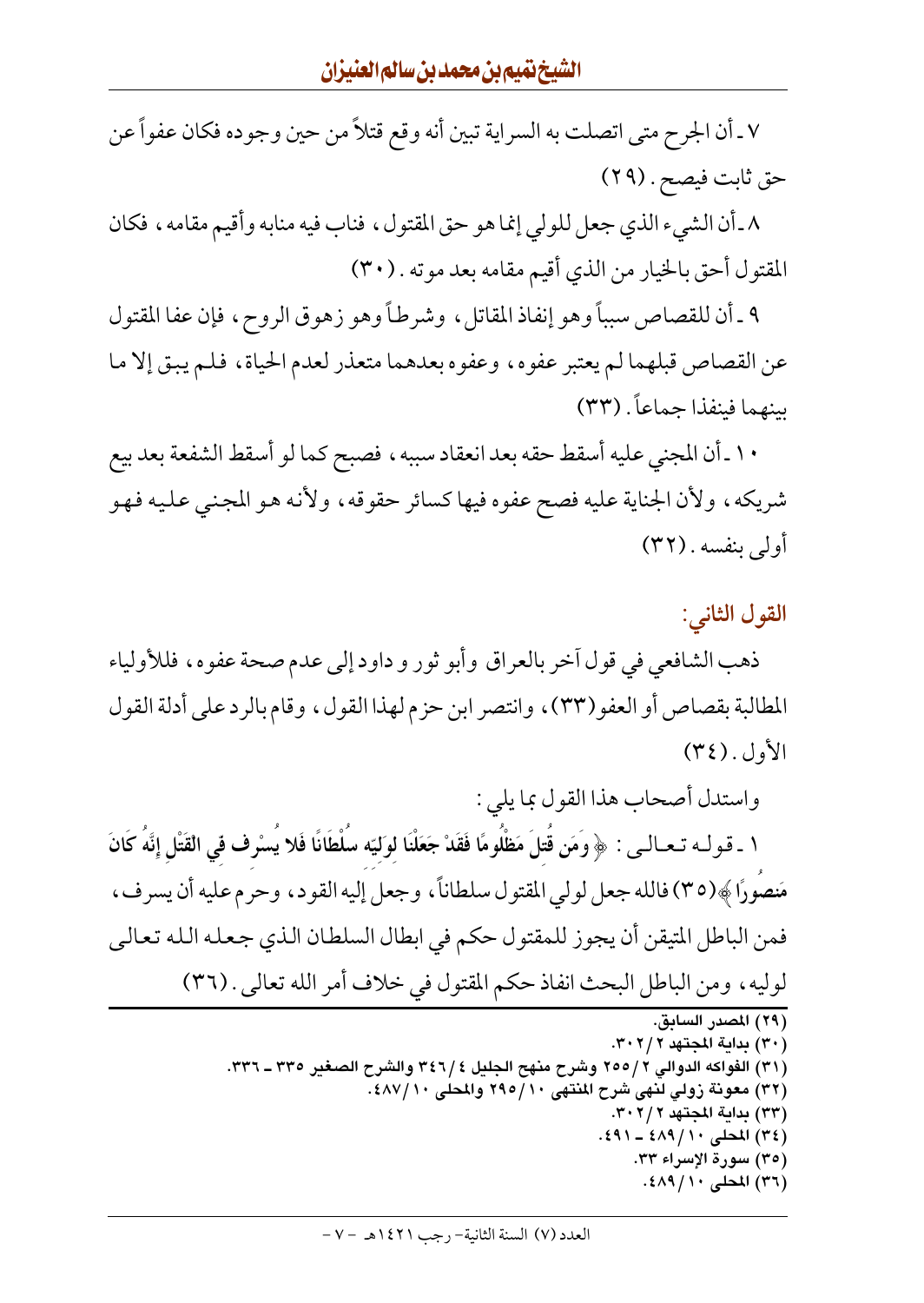٧ ـ أن الجرح متى اتصلت به السراية تبين أنه وقع قتلاً من حين وجوده فكان عفواً عن حق ثابت فيصح . (٢٩)

٨\_أن الشيء الذي جعل للولي إنما هو حق المقتول ، فناب فيه منابه وأقيم مقامه ، فكان المقتول أحق بالخيار من الذي أقيم مقامه بعد موته . (٣٠)

٩ ـ أن للقصاص سبباً وهو إنفاذ المقاتل ، وشرطاً وهو زهوق الروح ، فإن عفا المقتول عن القصاص قبلهما لم يعتبر عفوه، وعفوه بعدهما متعذر لعدم الحياة، فلم يبق إلا ما سنهما فينفذا جماعاً . (٣٣)

١٠ ـ أن المجني عليه أسقط حقه بعد انعقاد سببه ، فصبح كما لو أسقط الشفعة بعد بيع شريكه، ولأن الجناية عليه فصح عفوه فيها كسائر حقوقه، ولأنه هو المجنى عليه فهو أولى بنفسه . (٣٢)

القول الثاني :

ذهب الشافعي في قول أخر بالعراق وأبو ثور و داود إلى عدم صحة عفوه، فللأولياء المطالبة بقصاص أو العفو(٣٣)، وانتصر ابن حزم لهذا القول، وقام بالرد على أدلة القول  $(\Upsilon \xi)$ . الأول

واستدل أصحاب هذا القول بما يلي :

١ ـ قـولــه تـحـالــى : ﴿ وَمَن قُتلَ مَظْلُومًا فَقَدْ جَعَلْنَا لوَليّه سُلْطَانًا فَلا يُسْرِف في القَتْل إِنَّهُ كَانَ مَنصُورًا ﴾(٣٥) فالله جعل لولي المقتول سلطاناً، وجعل إليه القود، وحرم عليه أن يسرف، فمن الباطل المتيقن أن يجوز للمقتول حكم في ابطال السلطان الذي جعله الله تعالى لوليه، ومن الباطل البحث انفاذ حكم المقتول في خلاف أمر الله تعالى . (٣٦)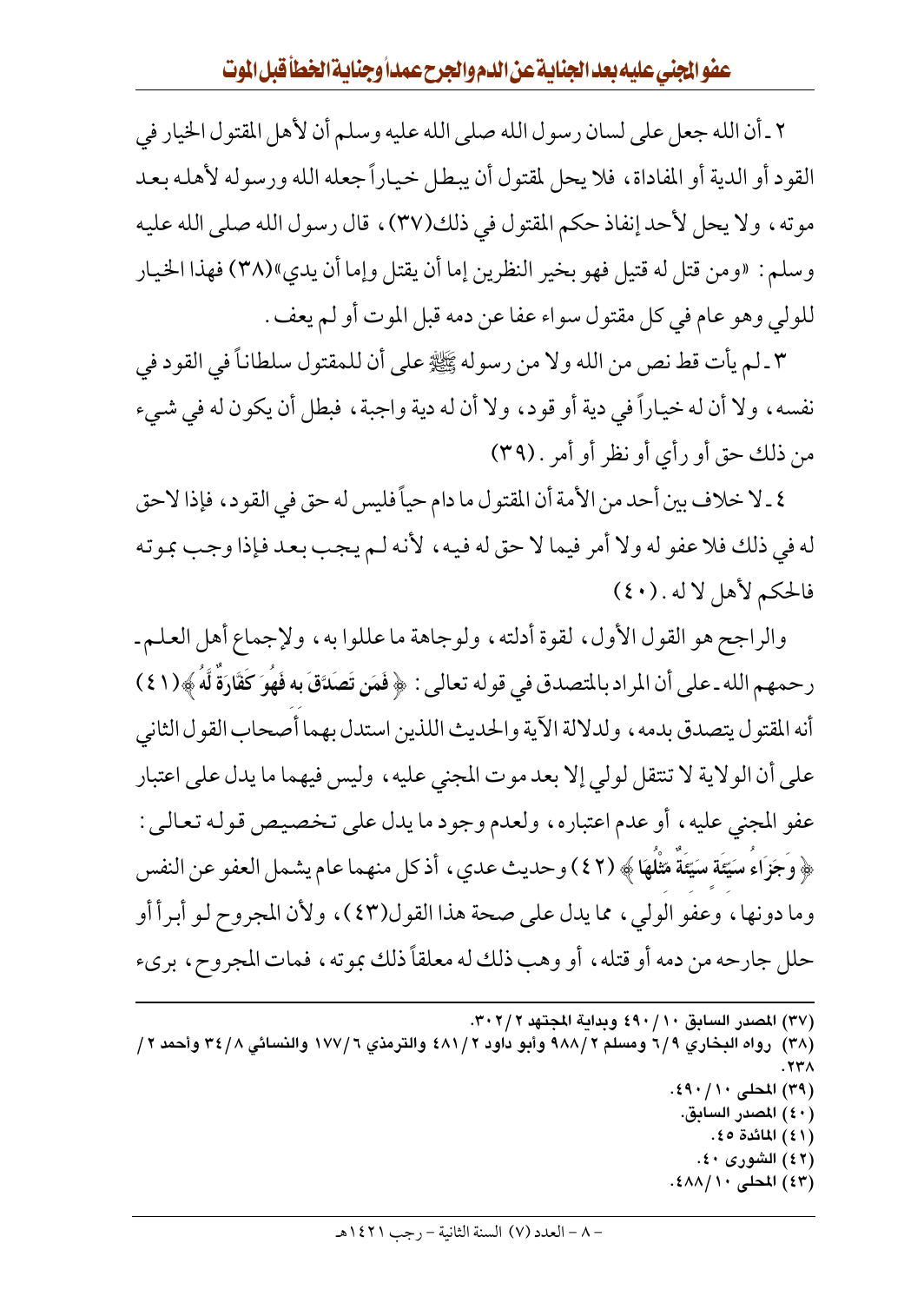٢ ـ أن الله جعل على لسان رسول الله صلى الله عليه وسلم أن لأهل المقتول الخيار في القود أو الدية أو المفاداة، فلا يحل لمقتول أن يبطل خياراً جعله الله ورسوله لأهله بعد موته، ولا يحل لأحد إنفاذ حكم المقتول في ذلك(٣٧)، قال رسول الله صلى الله عليه وسلم : «ومن قتل له قتيل فهو بخير النظرين إما أن يقتل وإما أن يدي»(٣٨) فهذا الخيار للولي وهو عام في كل مقتول سواء عفا عن دمه قبل الموت أو لم يعف .

٣ ـ لم يأت قط نص من الله ولا من رسوله ﷺ على أن للمقتول سلطاناً في القود في نفسه، ولا أن له خياراً في دية أو قود، ولا أن له دية واجبة، فبطل أن يكون له في شيء من ذلك حق أو رأى أو نظر أو أمر . (٣٩)

٤ ـ لا خلاف بين أحد من الأمة أن المقتول ما دام حياً فليس له حق في القود، فإذا لاحق له في ذلك فلا عفو له ولا أمر فيما لا حق له فيه ، لأنه لـم يجب بعد فإذا وجب بموته فالحكم لأهل لاله . (٤٠)

والراجح هو القول الأول، لقوة أدلته، ولوجاهة ما عللوا به، ولإجماع أهل العلم ـ رحمهم الله ـ على أن المراد بالمتصدق في قوله تعالى : ﴿ فَمَن تَصَدَّقَ بِهِ فَهُوَ كَقَارَةٌ لَّهُ ﴾(١ ٤ ) أنه المقتول يتصدق بدمه ، ولدلالة الآية والحديث اللذين استدل بهما أصحاب القول الثاني على أن الولاية لا تنتقل لولي إلا بعد موت المجنى عليه ، وليس فيهما ما يدل على اعتبار عفو المجنى عليه، أو عدم اعتباره، ولعدم وجود ما يدل على تخصيص قوله تعالى : ﴿ وَجَزَاءَ سَيِّئَة سَيِّئَة مَثْلَهَا ﴾ (٤٢) وحديث عدي ، أذ كل منهما عام يشمل العفو عن النفس وما دونها، وعفو الولي، مما يدل على صحة هذا القول(٤٣)، ولأن المجروح لـو أبـرأ أو حلل جارحه من دمه أو قتله، أو وهب ذلك له معلقاً ذلك بموته، فمات المجروح، بريء

```
(٣٧) المصدر السابق ٤٩٠/١٠ وبداية المجتهد ٣٠٢/٢.
```
(٣٨) رواه البخاري ٦/٩ ومسلم ٩٨٨/٢ وأبو داود ٤٨١/٢ والترمذي ١٧٧/٦ والنسائي ٣٤/٨ وأحمد ٢/  $.77<sub>A</sub>$ (٣٩) المحلي ١٠/ ٤٩٠. (٤٠) المصدر السابق.

- (٤١) المائدة ٤٥.
- (٤٢) الشورى ٤٠. (٤٣) المحلي ١٠/٨٨١.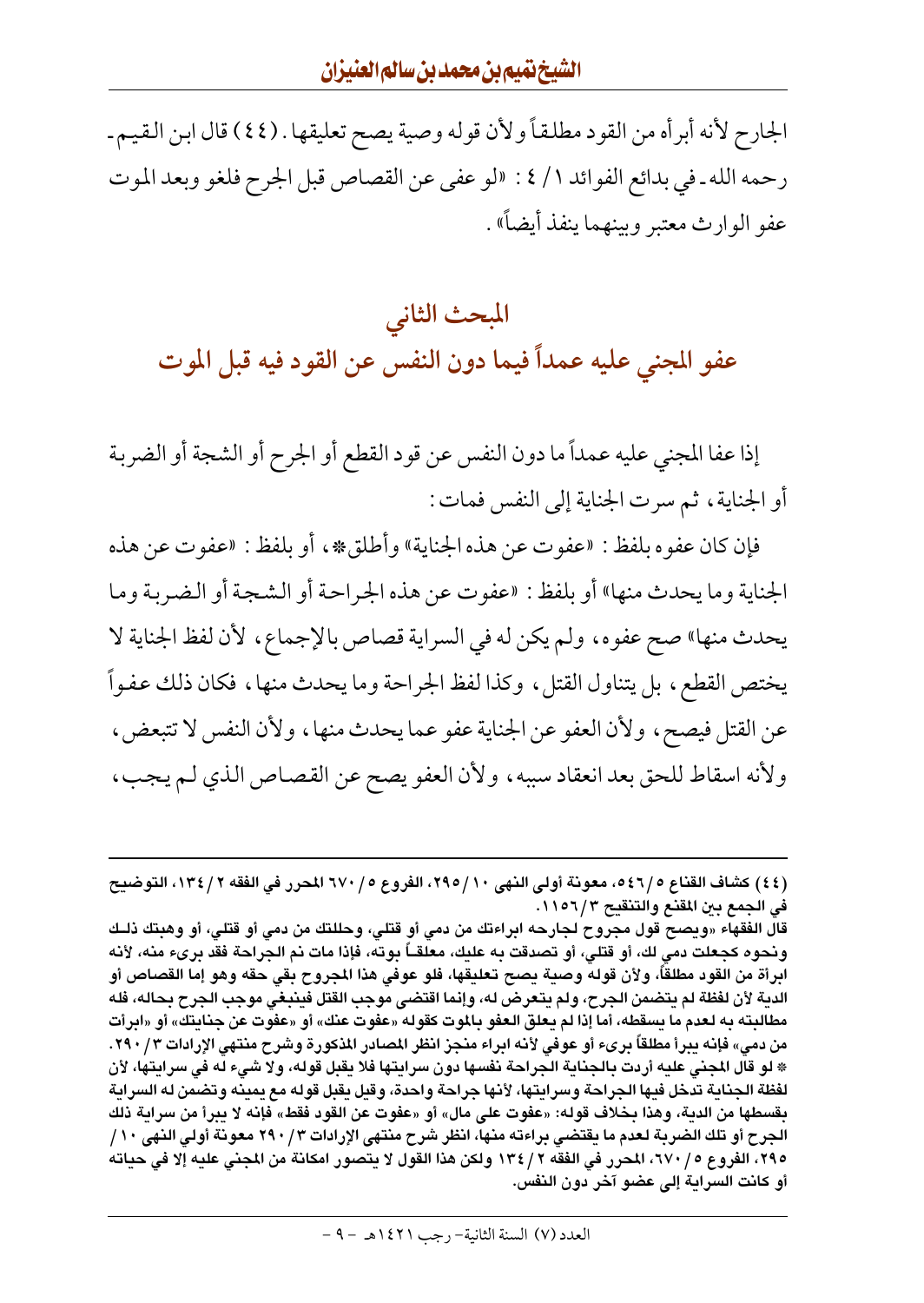الجارح لأنه أبرأه من القود مطلقاً ولأن قوله وصية يصح تعليقها . (٤٤) قال ابن القيم ـ رحمه الله ـ في بدائع الفوائد ١/ ٤ : «لو عفي عن القصاص قبل الجرح فلغو وبعد الموت عفو الوارث معتبر وبينهما ينفذ أيضاً» .

المبحث الثاني عفو المجنى عليه عمداً فيما دون النفس عن القود فيه قبل الموت

إذا عفا المجني عليه عمداً ما دون النفس عن قود القطع أو الجرح أو الشجة أو الضربة أو الجناية ، ثم سرت الجناية إلى النفس فمات :

فإن كان عفوه بلفظ : «عفوت عن هذه الجناية» وأطلق‰ ، أو بلفظ : «عفوت عن هذه الجناية وما يحدث منها» أو بلفظ : «عفوت عن هذه الجراحة أو الشجة أو الضربة وما يحدث منها» صح عفوه، ولم يكن له في السراية قصاص بالإجماع، لأن لفظ الجناية لا يختص القطع، بل يتناول القتل، وكذا لفظ الجراحة وما يحدث منها، فكان ذلك عفواً عن القتل فيصح، ولأن العفو عن الجناية عفو عما يحدث منها، ولأن النفس لا تتبعض، ولأنه اسقاط للحق بعد انعقاد سببه ، ولأن العفو يصح عن القصاص الذي لم يجب ،

<sup>(</sup>٤٤) كشاف القناع ٥٤٦/٥، معونة أولى النهي ٢٩٥/١٠، الفروع ٥/ ٦٧٠ المحرر في الفقه ٢ / ١٣٤، التوضيح في الجمع بين المقنع والتنقيح ١١٥٦/٣.

قال الفقهاء «ويصح قول مجروح لجارحه ابراءتك من دمى أو قتلى، وحللتك من دمى أو قتلى، أو وهبتك ذلـك ونحوه كجعلت دمى لك، أو قتلى، أو تصدقت به عليك، معلقـــاً بوته، فإذا مات نم الجراحة فقد برىء منه، لأنه ابرأة من القود مطلقاً، ولأن قوله وصية يصح تعليقها، فلو عوفى هذا المجروح بقى حقه وهو إما القصاص أو الدية لأن لفظة لم يتضمن الجرح، ولم يتعرض له، وإنما اقتضى موجب القتل فينبغي موجب الجرح بحاله، فله مطالبته به لعدم ما يسقطه، أما إذا لم يعلق العفو بالموت كقوله «عفوت عنك» أو «عفوت عن جنايتك» أو «ابرأت من دمي» فإنه يبرأ مطلقاً برىء أو عوفي لأنه ابراء منجز انظر المصادر المذكورة وشرح منتهي الإرادات ٣ / ٢٩٠. \* لو قال المجنى عليه أردت بالجناية الجراحة نفسها دون سرايتها فلا يقبل قوله، ولا شيء له في سرايتها، لأن لفظة الجناية تدخل فيها الجراحة وسرايتها، لأنها جراحة واحدة، وقيل يقبل قوله مع يمينه وتضمن له السراية بقسطها من الدية، وهذا بخلاف قوله: «عفوت على مال» أو «عفوت عن القود فقط» فإنه لا يبرأ من سراية ذلك الجرح أو تلك الضربة لعدم ما يقتضي براءته منها، انظر شرح منتهى الإرادات ٢٩٠/٣ معونة أولى النهى ١٠/ ٢٩٥، الفروع ٢/ ٦٧، المحرر في الفقه ٢ / ١٣٤ ولكن هذا القول لا يتصور امكانة من المجنى عليه إلا في حياته أو كانت السراية إلى عضو آخر دون النفس.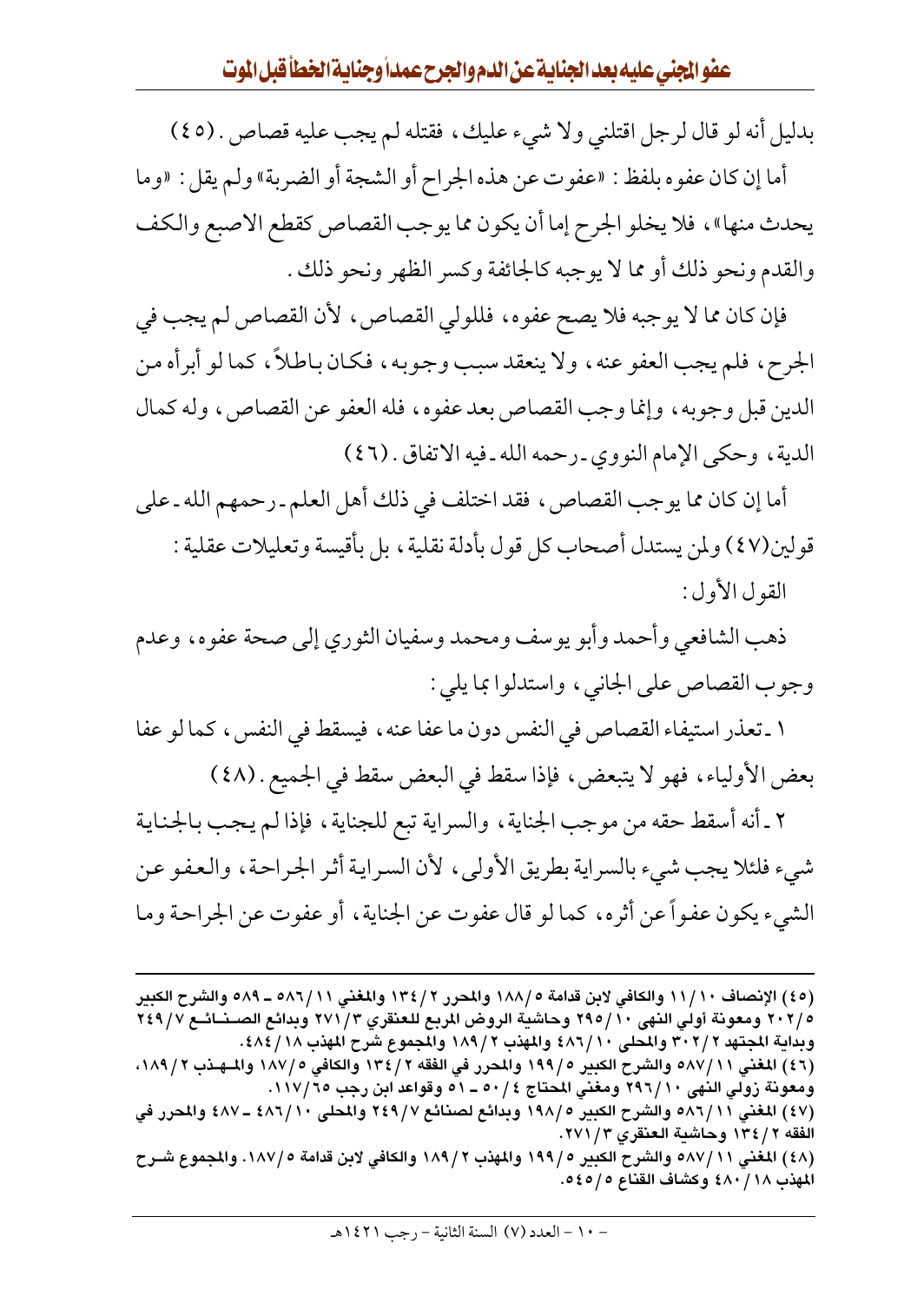بدليل أنه لو قال لرجل اقتلني ولا شيء عليك، فقتله لم يجب عليه قصاص . (٤٥)

أما إن كان عفوه بلفظ : «عفوت عن هذه الجراح أو الشجة أو الضربة» ولم يقل : «وما يحدث منها» ، فلا يخلو الجرح إما أن يكون مما يوجب القصاص كقطع الاصبع والكف والقدم ونحو ذلك أو مما لا يوجبه كالجائفة وكسر الظهر ونحو ذلك .

فإن كان مما لا يوجبه فلا يصح عفوه، فللولى القصاص، لأن القصاص لم يجب في الجرح، فلم يجب العفو عنه، ولا ينعقد سبب وجوبه، فكان باطلاً، كما لو أبرأه من الدين قبل وجوبه، وإنما وجب القصاص بعد عفوه، فله العفو عن القصاص، وله كمال الدية، وحكى الإمام النووي ـ رحمه الله ـ فيه الاتفاق . (٤٦)

أما إن كان مما يوجب القصاص ، فقد اختلف في ذلك أهل العلم ـ رحمهم الله ـ على قولين(٤٧) ولمن يستدل أصحاب كل قول بأدلة نقلية ، بل بأقيسة وتعليلات عقلية : القول الأول:

ذهب الشافعي وأحمد وأبو يوسف ومحمد وسفيان الثوري إلى صحة عفوه، وعدم وجوب القصاص على الجانبي، واستدلوا بما يلي :

١ ـ تعذر استيفاء القصاص في النفس دون ما عفا عنه ، فيسقط في النفس ، كما لو عفا بعض الأولياء، فهو لا يتبعض، فإذا سقط في البعض سقط في الجميع . (٤٨)

٢ ـ أنه أسقط حقه من موجب الجناية ، والسراية تبع للجناية ، فإذا لم يجب بالجناية شيء فلئلا يجب شيء بالسراية بطريق الأولى، لأن السراية أثر الجراحة، والعفو عن الشيء يكون عفواً عن أثره، كما لو قال عفوت عن الجناية ، أو عفوت عن الجراحة وما

<sup>(</sup>٤٥) الإنصاف ١١/١٠ والكافي لابن قدامة ١٨٨/٥ والمحرر ١٣٤/٢ والمغنى ٥٨٦/١١ ـ ٥٨٩ والشرح الكبير ٢٠٢/٥ ومعونة أولى النهي ٢٩٥/١٠ وحاشية الروض المربع للعنقري ٢٧١/٣ وبدائع الصــنــائــع ٢٤٩/٧ وبداية المجتهد ٣٠٢/٢ والمحلي ٤٨٦/١٠ والمهذب ١٨٩/٢ والمجموع شرح المهذب ٤٨٤/١٨. (٤٦) المغني ٥٨٧/١١ والشرح الكبير ٥ /١٩٩ والمحرر في الفقه ٢ /١٣٤ والكافي ٥ /١٨٧ والمهـذب ١٨٩/٢، ومعونة زولي النهي ٢٩٦/١٠ ومغني المحتاج ٥٠/٤ ـ ٥١ وقواعد ابن رجب ٦٥/١١٧. (٤٧) المغني ٥٨٦/١١ والشرح الكبير ١٩٨/٥ وبدائع لصنائع ٢٤٩/٧ والمحلى ٤٨٦/١٠ ـ ٤٨٧ والمحرر في الفقه ٢ / ١٣٤ وحاشية العنقري ٢ / ٢٧١. (٤٨) المغني ٥٨٧/١١ والشرح الكبير ١٩٩/٥ والمهذب ١٨٩/٢ والكافي لابن قدامة ١٨٧/٥. والمجموع شـرح المهذب ١٨/ ٤٨٠ وكشاف القناع ٥٤٥/٥.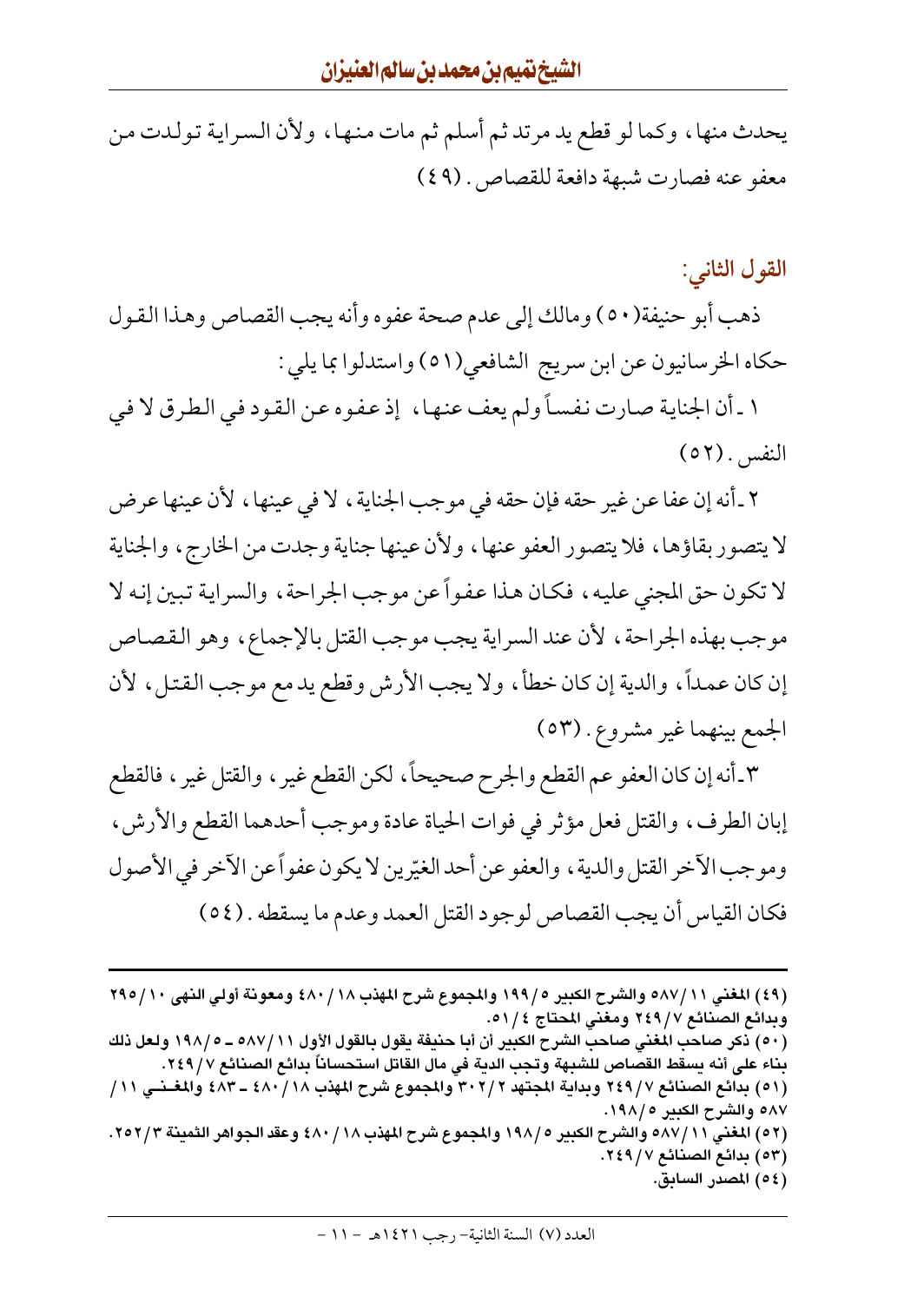يحدث منها، وكما لو قطع يد مرتد ثم أسلم ثم مات منها، ولأن السراية تولدت من معفو عنه فصارت شبهة دافعة للقصاص . (٤٩)

القول الثاني:

ذهب أبو حنيفة(٥٠) ومالك إلى عدم صحة عفوه وأنه يجب القصاص وهذا القول حكاه الخرسانيون عن ابن سريج الشافعي(٥١) واستدلوا بما يلي :

١ ـ أن الجناية صارت نفساً ولم يعف عنها، إذ عفوه عن القود في الطرق لا في النفس (٥٢)

٢ ـ أنه إن عفا عن غير حقه فإن حقه في موجب الجناية ، لا في عينها ، لأن عينها عرض لا يتصور بقاؤها، فلا يتصور العفو عنها، ولأن عينها جناية وجدت من الخارج، والجناية لا تكون حق المجنى عليه، فكان هذا عفواً عن موجب الجراحة، والسراية تبين إنه لا موجب بهذه الجراحة، لأن عند السراية يجب موجب القتل بالإجماع، وهو القصاص إن كان عمداً، والدية إن كان خطأ، ولا يجب الأرش وقطع يد مع موجب القتل، لأن الجمع بينهما غير مشروع . (٥٣)

٣\_أنه إن كان العفو عم القطع والجرح صحيحاً، لكن القطع غير ، والقتل غير ، فالقطع إبان الطرف، والقتل فعل مؤثر في فوات الحياة عادة وموجب أحدهما القطع والأرش، وموجب الآخر القتل والدية ، والعفو عن أحد الغيّرين لا يكون عفواً عن الآخر في الأصول فكان القياس أن يجب القصاص لوجود القتل العمد وعدم ما يسقطه . (٥٤)

- (٥٣) بدائع الصنائع ٢٤٩/٧.
	- (٥٤) المصدر السابق.

<sup>(</sup>٤٩) المغنى ٥٨٧/١١ والشرح الكبير ١٩٩/٥ والمجموع شرح المهذب ٤٨٠/١٨ ومعونة أولى النهي ٢٩٥/١٠ وبدائع الصنائع ٢٤٩/٧ ومغنى المحتاج ٥١/٤.

<sup>(</sup>٥٠) ذكر صاحب المغنى صاحب الشرح الكبير أن أبا حنيفة يقول بالقول الأول ٥٨٧/١١ ـ ١٩٨/٥ ولعل ذلك بناء على أنه يسقط القصاص للشبهة وتجب الدية في مال القاتل استحساناً بدائع الصنائع ٢٤٩/٧.

<sup>(</sup>٥١) بدائع الصنائع ٢٤٩/٧ وبداية المجتهد ٣٠٢/٢ والمجموع شرح المهذب ٤٨٠/١٨ ـ ٤٨٣ والمغـنـى ١١/ ٨٧ه والشرح الكبير ٥ /١٩٨.

<sup>(</sup>٥٢) المغنى ١١ /٥٨٧ والشرح الكبير ١٩٨/٥ والمجموع شرح المهذب ١٨ / ٤٨٠ وعقد الجواهر الثمينة ٢٥٢/٣.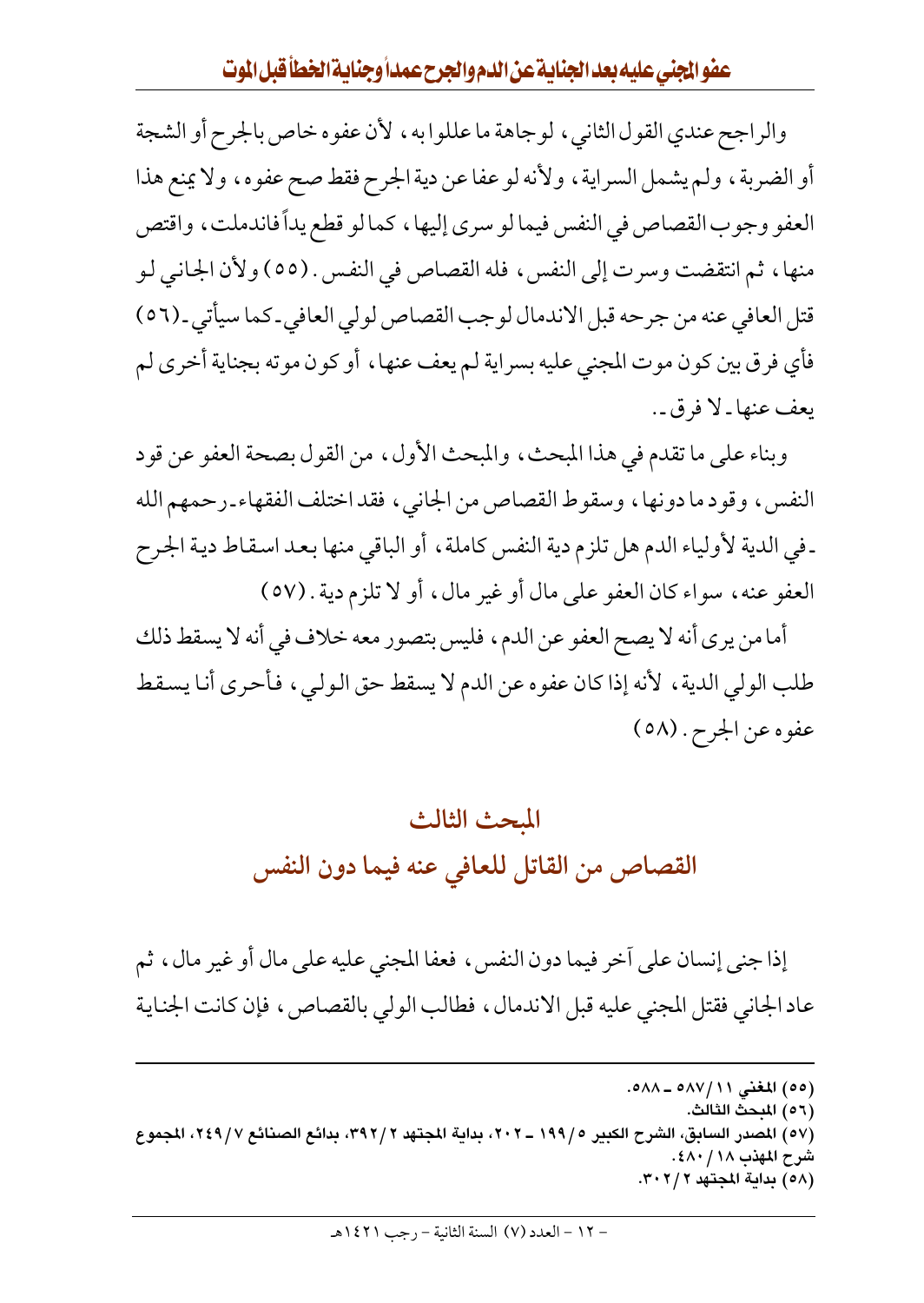والراجح عندي القول الثاني ، لوجاهة ما عللوا به ، لأن عفوه خاص بالجرح أو الشجة أو الضربة، ولم يشمل السراية، ولأنه لو عفا عن دية الجرح فقط صح عفوه، ولا يمنع هذا العفو وجوب القصاص في النفس فيما لو سرى إليها ، كما لو قطع يداً فاندملت ، واقتص منها ، ثم انتقضت وسرت إلى النفس ، فله القصاص في النفس . (٥٥) ولأن الجانبي لـو قتل العافي عنه من جرحه قبل الاندمال لوجب القصاص لولي العافي-كما سيأتي-(٥٦) فأي فرق بين كون موت المجني عليه بسراية لم يعف عنها ، أو كون موته بجناية أخرى لم يعف عنها ـ لا فرق ـ .

وبناء على ما تقدم في هذا المبحث، والمبحث الأول، من القول بصحة العفو عن قود النفس ، وقود ما دونها ، وسقوط القصاص من الجانبي ، فقد اختلف الفقهاء ـ رحمهم الله ـ في الدية لأولياء الدم هل تلزم دية النفس كاملة ، أو الباقي منها بعد اسقاط دية الجرح العفو عنه، سواء كان العفو على مال أو غير مال، أو لا تلزم دية . (٥٧)

أما من يرى أنه لا يصح العفو عن الدم، فليس بتصور معه خلاف في أنه لا يسقط ذلك طلب الولي الدية ، لأنه إذا كان عفوه عن الدم لا يسقط حق الولي ، فأحرى أنا يسقط عفوه عن الجرح . (٥٨)

## المحث الثالث القصاص من القاتل للعافي عنه فيما دون النفس

إذا جني إنسان على أخر فيما دون النفس ، فعفا المجنى عليه على مال أو غير مال ، ثم عاد الجاني فقتل المجنى عليه قبل الاندمال، فطالب الولي بالقصاص، فإن كانت الجناية

- (٥٦) المبحث الثالث.
- (٥٧) المصدر السابق، الشرح الكبير ١٩٩/٥ ــ ٢٠٢، بداية المجتهد ٣٩٢/٢، بدائع الصنائع ٢٤٩/٧، المجموع شرح المهذب ١٨ / ٤٨٠. (٥٨) بداية المجتهد ٣٠٢/٢.

<sup>(</sup>٥٥) المغنى ٥٨٧/١١ ـ ٥٨٨.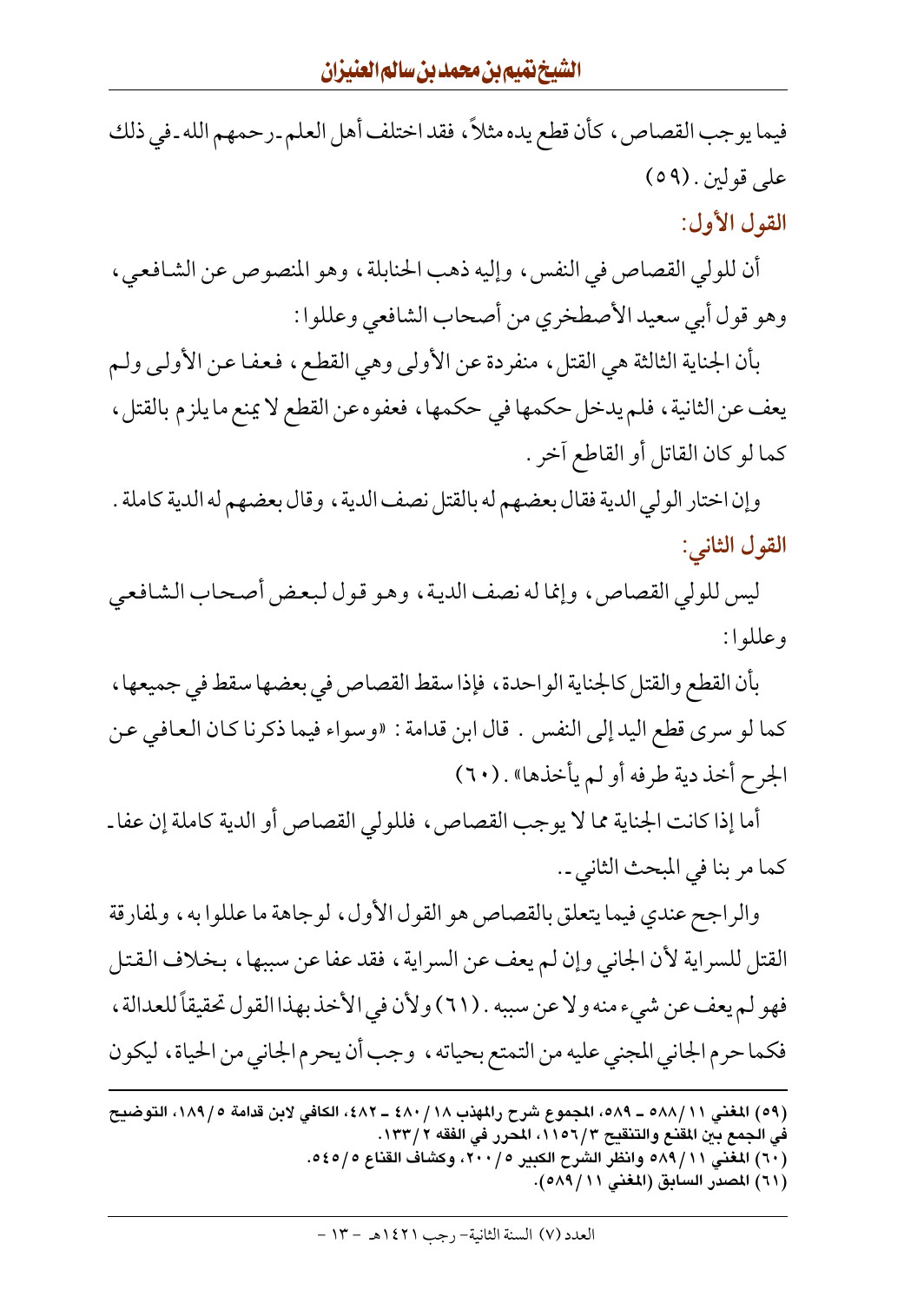فيما يوجب القصاص، كأن قطع يده مثلاً، فقد اختلف أهل العلم ـ رحمهم الله ـ في ذلك على قولين . (٥٩) القول الأول:

أن للولي القصاص في النفس، وإليه ذهب الحنابلة، وهو المنصوص عن الشافعي، وهو قول أبي سعيد الأصطخري من أصحاب الشافعي وعللوا :

بأن الجناية الثالثة هي القتل، منفردة عن الأولى وهي القطع، فعفا عن الأولى ولم يعف عن الثانية ، فلم يدخل حكمها في حكمها ، فعفوه عن القطع لا يمنع ما يلزم بالقتل ، كما لو كان القاتل أو القاطع آخر .

وإن اختار الولي الدية فقال بعضهم له بالقتل نصف الدية ، وقال بعضهم له الدية كاملة . القول الثاني:

ليس للولي القصاص، وإنما له نصف الدية، وهو قول لبعض أصحاب الشافعي وعللوا:

بأن القطع والقتل كالجناية الواحدة، فإذا سقط القصاص في بعضها سقط في جميعها، كما لو سرى قطع اليد إلى النفس . قال ابن قدامة : «وسواء فيما ذكرنا كـان الـعـافي عـن الجرح أخذ دية طرفه أو لم يأخذها» . (٦٠)

أما إذا كانت الجناية مما لا يوجب القصاص، فللولى القصاص أو الدية كاملة إن عفا ـ كما مر بنا في المبحث الثاني ـ.

والراجح عندي فيما يتعلق بالقصاص هو القول الأول ، لوجاهة ما عللوا به ، ولمفارقة القتل للسراية لأن الجاني وإن لم يعف عن السراية، فقد عفا عن سببها، بخلاف القتل فهو لم يعف عن شيء منه ولا عن سببه . (٦١) ولأن في الأخذ بهذا القول تحقيقاً للعدالة ، فكما حرم الجاني المجني عليه من التمتع بحياته ، وجب أن يحرم الجاني من الحياة ، ليكون

<sup>(</sup>٥٩) المغنى ٥٨/١١ه ـ ٥٨٩، المجموع شرح رالمهذب ١٨/ ٤٨٠ ـ ٤٨٢، الكافي لابن قدامة ١٨٩/٥، التوضيح في الجمع بين المقنع والتنقيح ٦/٢٥٦، المحرر في الفقه ٢/ ١٣٣. (٦٠) المغنى ٥٨٩/١١ وانظر الشرح الكبير ٢٠٠/٥، وكشاف القناع ٥٤٥/٥. (٦١) المصدر السابق (المغنى ٥٨٩/١١).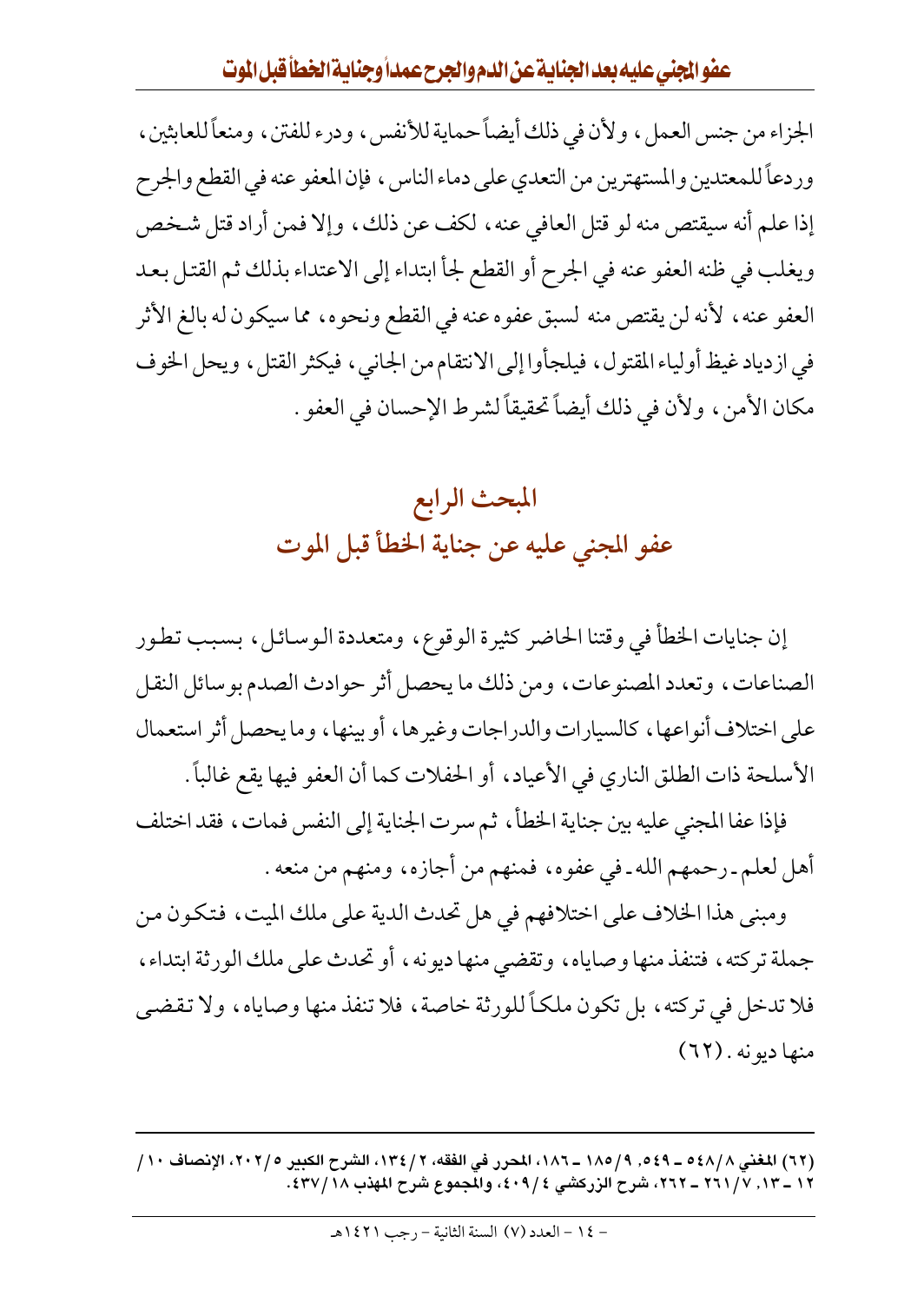عفوالمجنى عليه بعد الجنابية عن الدم والجرح عمداً وجنابية الخطأ قبل الموت

الجزاء من جنس العمل ، ولأن في ذلك أيضاً حماية للأنفس ، ودرء للفتن ، ومنعاً للعابثين ، وردعاً للمعتدين والمستهترين من التعدي على دماء الناس ، فإن المعفو عنه في القطع والجرح إذا علم أنه سيقتص منه لو قتل العافي عنه ، لكف عن ذلك ، وإلا فمن أراد قتل شخص ويغلب في ظنه العفو عنه في الجرح أو القطع لجأ ابتداء إلى الاعتداء بذلك ثم القتل بعد العفو عنه ، لأنه لن يقتص منه لسبق عفوه عنه في القطع ونحوه ، مما سيكون له بالغ الأثر في ازدياد غيظ أولياء المقتول، فيلجأوا إلى الانتقام من الجاني، فيكثر القتل، ويحل الخوف مكان الأمن ، ولأن في ذلك أيضاً تحقيقاً لشرط الإحسان في العفو .

#### المبحث الرابع عفو المجنى عليه عن جناية الخطأ قبل الموت

إن جنايات الخطأ في وقتنا الحاضر كثيرة الوقوع، ومتعددة الوسائل، بسبب تطور الصناعات، وتعدد المصنوعات، ومن ذلك ما يحصل أثر حوادث الصدم بوسائل النقل على اختلاف أنواعها، كالسيارات والدراجات وغيرها، أو بينها، وما يحصل أثر استعمال الأسلحة ذات الطلق الناري في الأعياد، أو الحفلات كما أن العفو فيها يقع غالباً .

فإذا عفا المجنى عليه بين جناية الخطأ، ثم سرت الجناية إلى النفس فمات، فقد اختلف أهل لعلم ـ رحمهم الله ـ في عفوه، فمنهم من أجازه، ومنهم من منعه .

ومبنى هذا الخلاف على اختلافهم في هل تحدث الدية على ملك الميت، فتكون من جملة تركته ، فتنفذ منها وصاياه ، وتقضى منها ديونه ، أو تحدث على ملك الورثة ابتداء ، فلا تدخل في تركته ، بل تكون ملكـأ للورثة خاصة ، فلا تنفذ منها وصاياه ، ولا تقضي منها ديونه . (٦٢)

(٦٢) المغنى ٥٤٨/٨ ـ ٥٤٩, ٩/٩٨/ - ١٨٢. المحرر في الفقه، ٢ / ١٣٤، الشرح الكبير ٢٠٢٥، الإنصاف ١٠/ ١٢ \_ ١٣, ٧ / ٢٦١ \_ ٢٦٢، شرح الزركشي ٤ / ٤٠٩، والمجموع شرح المهذب ١٨ / ٤٣٧.

- ١٤ - العدد (٧) السنة الثانية - رجب ١٤٢١هـ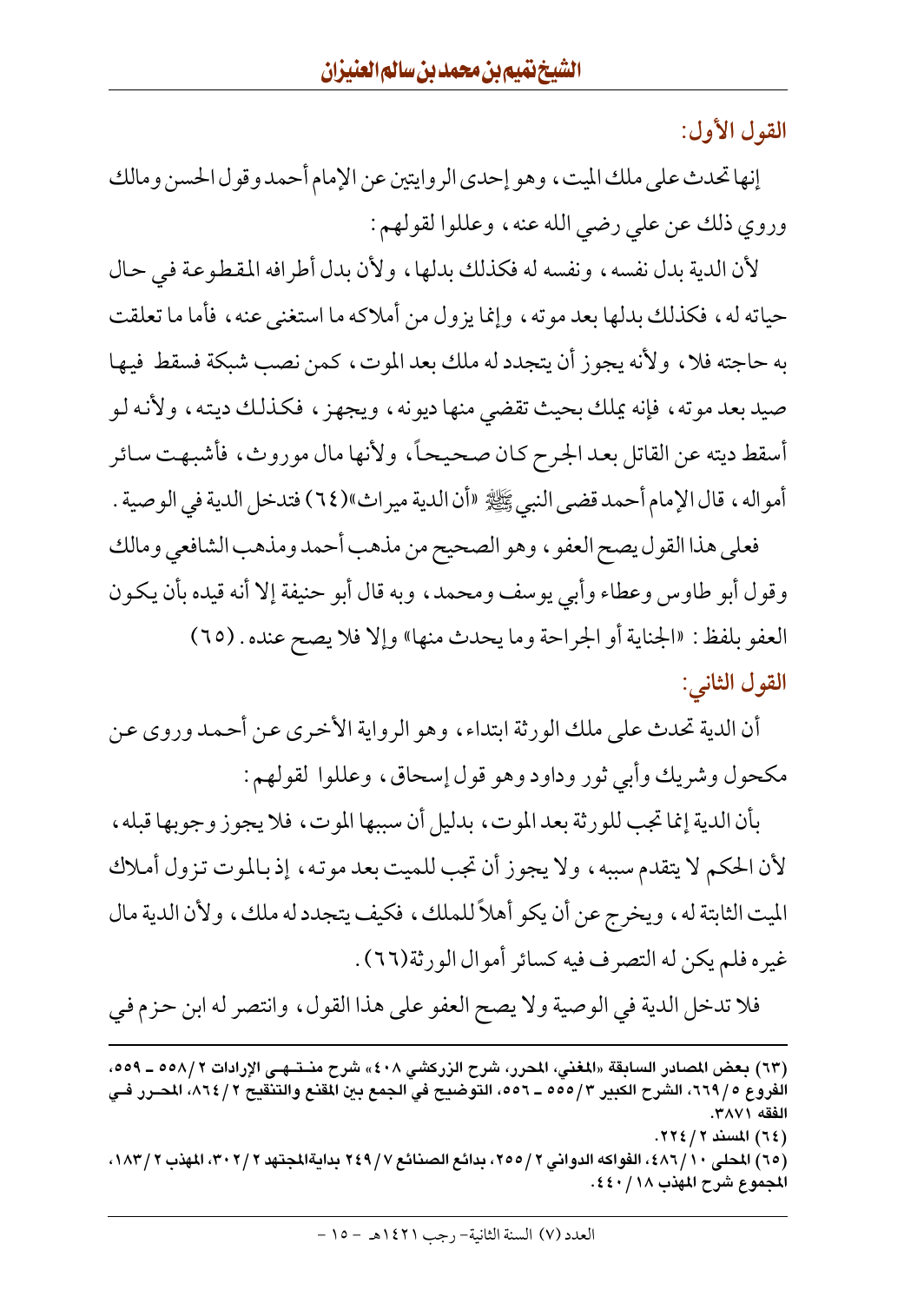القول الأول:

إنها تحدث على ملك الميت ، وهو إحدى الروايتين عن الإمام أحمد وقول الحسن ومالك وروي ذلك عن على رضي الله عنه ، وعللوا لقولهم :

لأن الدية بدل نفسه، ونفسه له فكذلك بدلها، ولأن بدل أطرافه المقطوعة في حال حياته له، فكذلك بدلها بعد موته، وإنما يزول من أملاكه ما استغنى عنه، فأما ما تعلقت به حاجته فلا ، ولأنه يجوز أن يتجدد له ملك بعد الموت ، كمن نصب شبكة فسقط فيها صيد بعد موته ، فإنه يملك بحيث تقضي منها ديونه ، ويجهز ، فكذلك ديته ، ولأنه لـو أسقط ديته عن القاتل بعد الجرح كان صحيحاً، ولأنها مال موروث، فأشبهت سائر أمواله ، قال الإمام أحمد قضي النبي ﷺ «أن الدية ميراث»(٦٤) فتدخل الدية في الوصية .

فعلى هذا القول يصح العفو ، وهو الصحيح من مذهب أحمد ومذهب الشافعي ومالك وقول أبو طاوس وعطاء وأبي يوسف ومحمد، وبه قال أبو حنيفة إلا أنه قيده بأن يكون العفو بلفظ: «الجناية أو الجراحة وما يحدث منها» وإلا فلا يصح عنده . (٦٥) القول الثاني:

أن الدية تحدث على ملك الورثة ابتداء ، وهو الرواية الأخرى عن أحمد وروى عن مكحول وشريك وأبي ثور وداود وهو قول إسحاق، وعللوا لقولهم :

بأن الدية إنما تجب للورثة بعد الموت، بدليل أن سببها الموت، فلا يجوز وجوبها قبله، لأن الحكم لا يتقدم سببه ، ولا يجوز أن تجب للميت بعد موته ، إذ بالموت تزول أملاك الميت الثابتة له ، ويخرج عن أن يكو أهلاً للملك ، فكيف يتجدد له ملك ، ولأن الدية مال غيره فلم يكن له التصرف فيه كسائر أموال الورثة(٦٦) .

فلا تدخل الدية في الوصية ولا يصح العفو على هذا القول، وانتصر له ابن حزم في

<sup>(</sup>٦٣) بعض المصادر السابقة «المغني، المحرر، شرح الزركشي ٤٠٨) شرح منــتــهـي الإرادات ٥٨/١٢ ــ ٥٥٩، الفروع ٩/ ٦٦٩، الشرح الكبير ٥٥٥/٣ ـ ٥٥٦، التوضيح في الجمع بين المقنع والتنقيح ٢/ ٨٦٤، المصرر فـي الفقه ٣٨٧١. (٦٤) المسند ٢ / ٢٢٤.

<sup>(</sup>٦٥) المحلي ١٠/ ٤٨٦)، الفواكه الدواني ٢ /٢٥٥، بدائع الصنائع ٢ / ٢٤٩ بدايةالمجتهد ٣ /٣٠٢، المهذب ٢ /١٨٣، المجموع شرح المهذب ١٨/ ٤٤٠.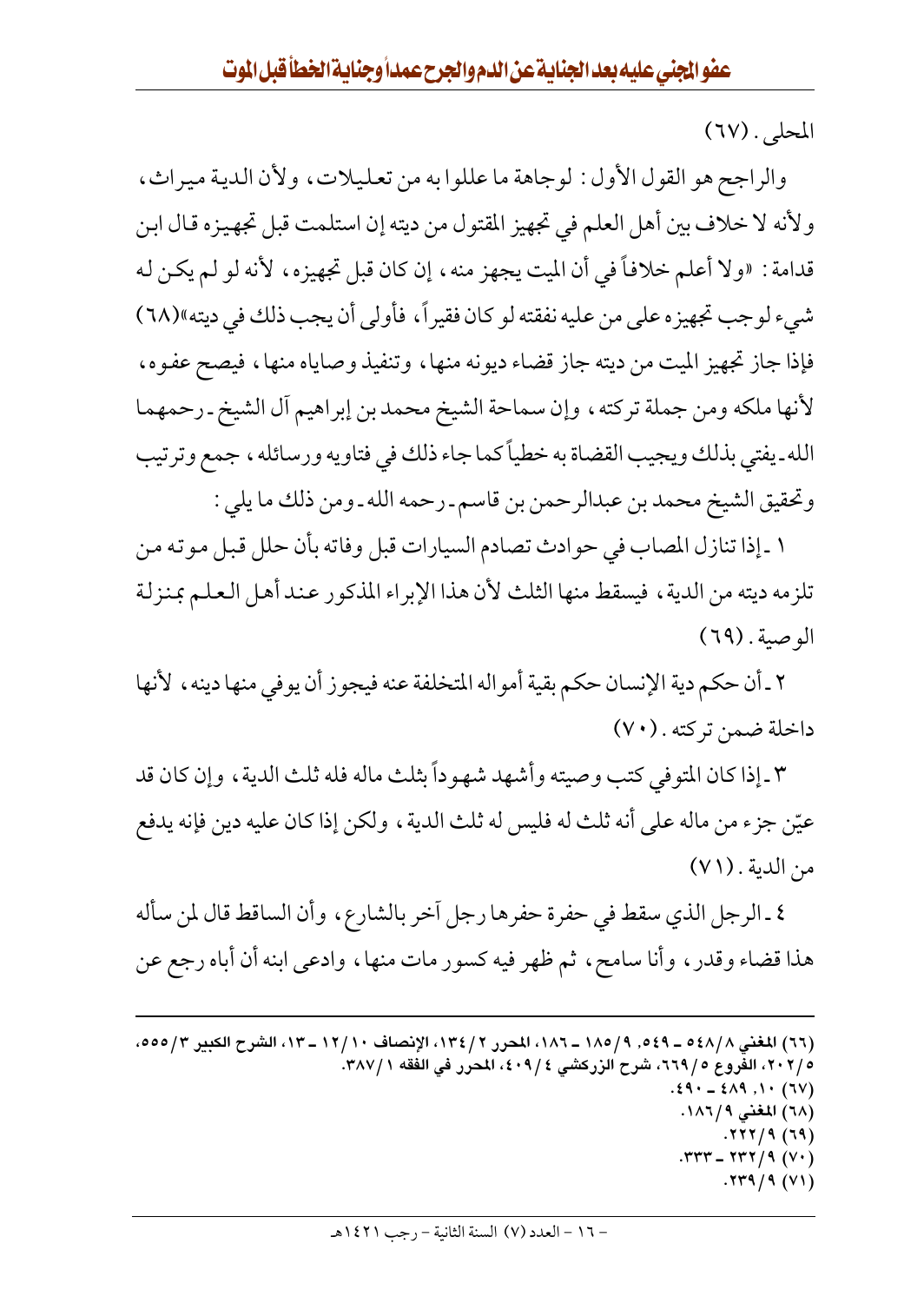المحلي. (٦٧)

والراجح هو القول الأول: لوجاهة ما عللوا به من تعليلات، ولأن الدية ميراث، ولأنه لا خلاف بين أهل العلم في تجهيز المقتول من ديته إن استلمت قبل تجهيزه قال ابن قدامة : «ولا أعلم خلافاً في أن الميت يجهز منه، إن كان قبل تجهيزه، لأنه لو لم يكن له شيء لوجب تجهيزه على من عليه نفقته لو كان فقيراً، فأولى أن يجب ذلك في ديته»(٦٨) فإذا جاز تجهيز الميت من ديته جاز قضاء ديونه منها، وتنفيذ وصاياه منها، فيصح عفـوه، لأنها ملكه ومن جملة تركته ، وإن سماحة الشيخ محمد بن إبراهيم أل الشيخ ـ رحمهما الله ـ يفتى بذلك ويجيب القضاة به خطياً كما جاء ذلك في فتاويه ورسائله ، جمع وترتيب وتحقيق الشيخ محمد بن عبدالرحمن بن قاسم ـ رحمه الله ـ ومن ذلك ما يلي :

١ ـ إذا تنازل المصاب في حوادث تصادم السيارات قبل وفاته بأن حلل قبل موته من تلزمه ديته من الدية ، فيسقط منها الثلث لأن هذا الإبراء المذكور عند أهل العلم بمنزلة الوصية. (٦٩)

٢ ـ أن حكم دية الإنسان حكم بقية أمواله المتخلفة عنه فيجوز أن يوفي منها دينه ، لأنها داخلة ضمن تركته . (٧٠)

٣ ـ إذا كان المتوفى كتب وصيته وأشهد شهو داً بثلث ماله فله ثلث الدية ، وإن كان قد عيّن جزء من ماله على أنه ثلث له فليس له ثلث الدية ، ولكن إذا كان عليه دين فإنه يدفع من الدية . (٧١)

٤ ـ الرجل الذي سقط في حفرة حفرها رجل أخر بالشارع، وأن الساقط قال لمن سأله هذا قضاء وقدر ، وأنا سامح ، ثم ظهر فيه كسور مات منها ، وادعى ابنه أن أباه رجع عن

(٦٦) المغنى ٥٤٨/٨ ـ ٥٤٩, ٩/ ١٨٥ ـ ١٨٦، المحرر ٢/ ١٣٤، الإنصاف ١٢/١٠ ـ ١٣، الشرح الكبير ٣/ ٥٥٥، ٥ /٢٠٢، الفروع ٥ / ٦٦٩، شرح الزركشي ٤ / ٤٠٩، المحرر في الفقه ٣٨٧/١.  $.29 - 219$ ,  $.1 \cdot (70)$ (٦٨ ) المغنى ١٨٦/٩.  $.777/9(19)$  $.777 - 777/9 (V)$  $.779/9(V)$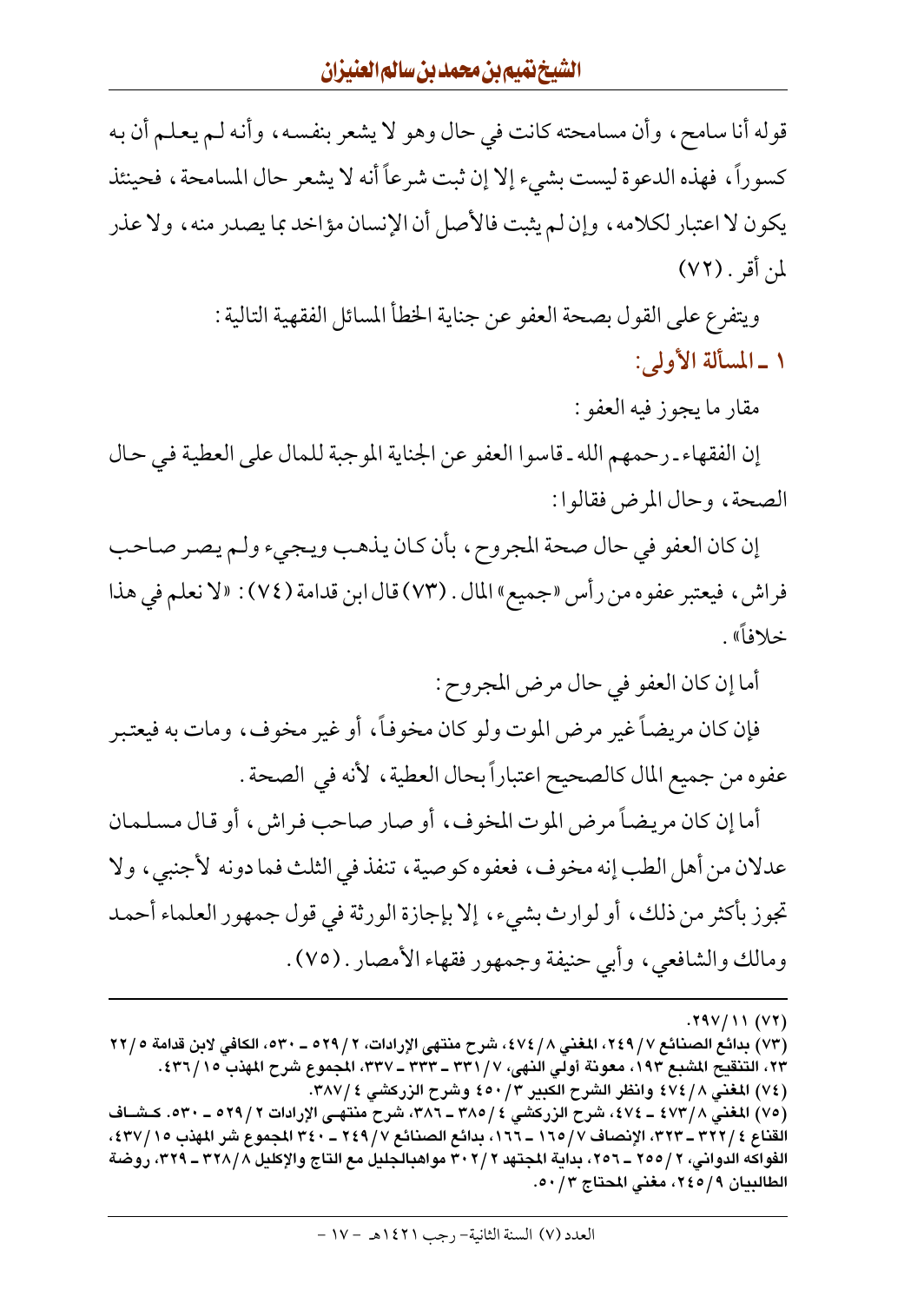قوله أنا سامح، وأن مسامحته كانت في حال وهو لا يشعر بنفسه، وأنه لـم يعلـم أن بـه كسوراً، فهذه الدعوة ليست بشيء إلا إن ثبت شرعاً أنه لا يشعر حال المسامحة، فحينئذ يكون لا اعتبار لكلامه، وإن لم يثبت فالأصل أن الإنسان مؤاخد بما يصدر منه ، ولا عذر لمن أقر . (٧٢)

> ويتفرع على القول بصحة العفو عن جناية الخطأ المسائل الفقهية التالية : ١ \_ المسألة الأولى:

> > مقار ما يجوز فيه العفو :

إن الفقهاء ـ رحمهم الله ـ قاسوا العفو عن الجناية الموجبة للمال على العطية في حال الصحة، وحال المرض فقالوا:

إن كان العفو في حال صحة المجروح، بأن كان يذهب ويجيء ولم يصر صاحب فراش، فيعتبر عفوه من رأس «جميع» المال . (٧٣) قال ابن قدامة (٧٤) : «لا نعلم في هذا خلافاً».

أما إن كان العفو في حال مرض المجروح :

فإن كان مريضاً غير مرض الموت ولو كان مخوفاً، أو غير مخوف، ومات به فيعتبر عفوه من جميع المال كالصحيح اعتباراً بحال العطية، لأنه في الصحة .

أما إن كان مريضاً مرض الموت المخوف، أو صار صاحب فراش، أو قال مسلمان عدلان من أهل الطب إنه مخوف، فعفوه كوصية، تنفذ في الثلث فما دونه لأجنبي، ولا تجوز بأكثر من ذلك، أو لوارث بشيء، إلا بإجازة الورثة في قول جمهور العلماء أحمد ومالك والشافعي، وأبي حنيفة وجمهور فقهاء الأمصار . (٧٥).

(٧٥) المغنى ٤٧٢/٨ ــ ٤٧٤، شرح الزركشي ٤ / ٣٨٥ ــ ٣٨٦، شرح منتهـي الإرادات ٢ / ٥٢٩ ــ ٥٣٠. كــشــاف القناع ٢٢٢/ ٣٢٢ ـ ٣٢٣، الإنصاف ١٦٥/ ١٦٥ ـ ١٦٦، بدائع الصنائع ٢٤٩/ ٢٤٩ ـ ٣٤٠ المجموع شر المهذب ٢٧/ ٤٣٧، الفواكه الدواني، ٢ /٢٥٥ ــ ٢٥٦، بداية المجتهد ٣٠٢/٢ مواهبالجليل مع التاج والإكليل ٣٢٨/٨ ــ ٣٢٩، روضة الطالبيان ٩/٥٤٩، مغنى المحتاج ٥٠/٣.

 $.79V/11(V)$ 

<sup>(</sup>٧٣) بدائع الصنائع ٧/ ٢٤٩، المغنى ٤٧٤/ ٤٧٤، شرح منتهى الإرادات، ٢ / ٥٢٩ ــ ٥٣٠، الكافي لابن قدامة ٢٢/ ٢٣، التنقيح المشبع ١٩٣، معونة أولى النهي، ٧/ ٣٣١ ـ ٣٣٣ ـ ٣٣٧، المجموع شرح المهذب ٢٦/ ٤٣٦. (٧٤) المغنى ٤٧٤/٨ وانظر الشرح الكبير ٤٥٠/٣ وشرح الزركشي ٣٨٧/٤.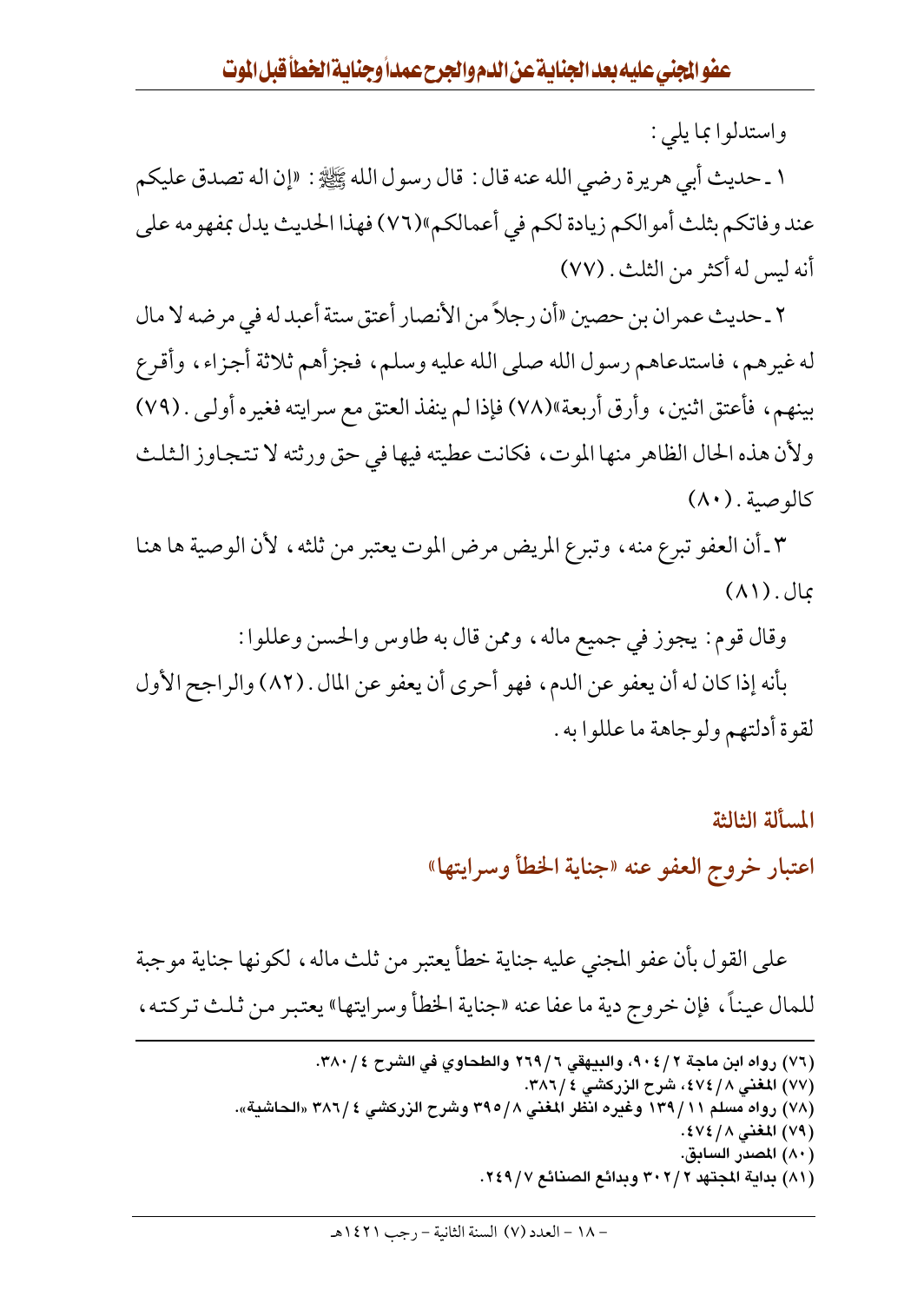واستدلوا بما يلي :

١ ـ حديث أبي هريرة رضي الله عنه قال : قال رسول الله ﷺ : «إن اله تصدق عليكم عند وفاتكم بثلث أموالكم زيادة لكم في أعمالكم»(٧٦) فهذا الحديث يدل بمفهومه على أنه ليس له أكثر من الثلث . (٧٧)

٢ ـ حديث عمران بن حصين «أن رجلاً من الأنصار أعتق ستة أعبد له في مرضه لا مال له غيرهم، فاستدعاهم رسول الله صلى الله عليه وسلم، فجزأهم ثلاثة أجزاء، وأقرع بينهم، فأعتق اثنين، وأرق أربعة»(٧٨) فإذا لم ينفذ العتق مع سرايته فغيره أولـي . (٧٩) ولأن هذه الحال الظاهر منها الموت، فكانت عطيته فيها في حق ورثته لا تتجاوز الثلث كالوصية. (٨٠)

٣ ـ أن العفو تبرع منه ، وتبرع المريض مرض الموت يعتبر من ثلثه ، لأن الوصية ها هنا بمال . (٨١)

وقال قوم : يجوز في جميع ماله ، وممن قال به طاوس والحسن وعللوا : بأنه إذا كان له أن يعفو عن الدم، فهو أحرى أن يعفو عن المال . (٨٢) والراجح الأول لقوة أدلتهم ولوجاهة ما عللوا به .

> المسألة الثالثة اعتبار خروج العفو عنه «جناية الخطأ وسرايتها»

على القول بأن عفو المجني عليه جناية خطأ يعتبر من ثلث ماله، لكونها جناية موجبة للمال عيناً، فإن خروج دية ما عفا عنه «جناية الخطأ وسرايتها» يعتبر من ثلث تركته،

- (٧٦) رواه ابن ماجة ٩٠٤/٢، والبيهقي ٢٦٩/٦ والطحاوي في الشرح ٣٨٠/٤.
	- (٧٧) المغنى ٤٧٤/٨، شرح الزركشي ٤ /٣٨٦.
- (٧٨) رواه مسلم ١٣٩/١١ وغيره انظر المغني ٣٩٥/٨ وشرح الزركشي ٣٨٦/٤ «الحاشية».
	- (٧٩) المغنى ٤٧٤/ .
	- (٨٠) المصدر السابق.
	- (٨١) بداية المجتهد ٣٠٢/٢ وبدائع الصنائع ٢٤٩/٧.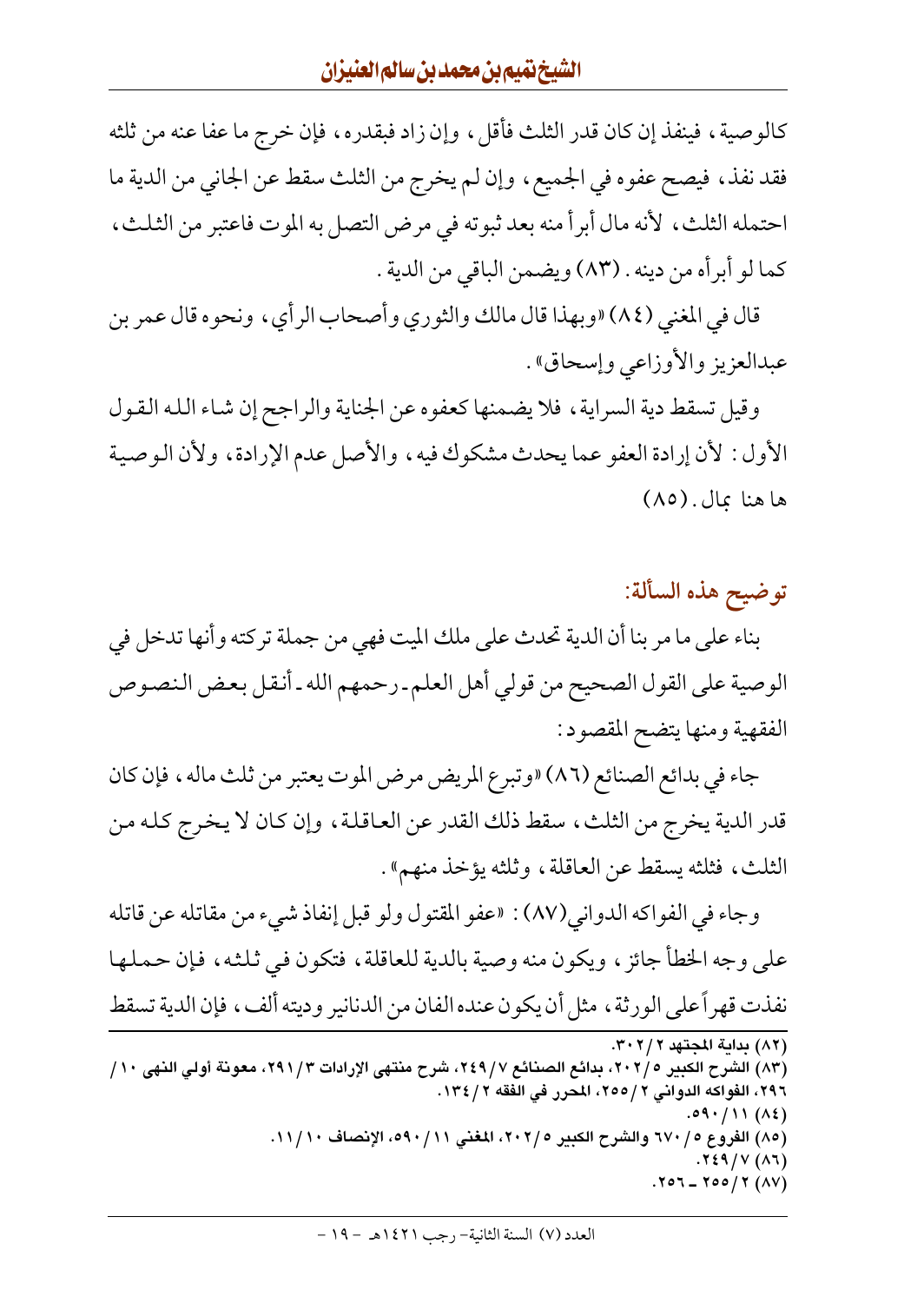كالوصية، فينفذ إن كان قدر الثلث فأقل، وإن زاد فبقدره، فإن خرج ما عفا عنه من ثلثه فقد نفذ، فيصح عفوه في الجميع، وإن لم يخرج من الثلث سقط عن الجاني من الدية ما احتمله الثلث، لأنه مال أبرأ منه بعد ثبوته في مرض التصل به الموت فاعتبر من الثلث، كما لو أبرأه من دينه . (٨٣) ويضمن الباقي من الدية .

قال في المغنى (٨٤) «وبهذا قال مالك والثوري وأصحاب الرأي، ونحوه قال عمر بن عبدالعزيز والأوزاعي وإسحاق» .

وقيل تسقط دية السراية، فلا يضمنها كعفوه عن الجناية والراجح إن شاء الله القول الأول : لأن إرادة العفو عما يحدث مشكوك فيه، والأصل عدم الإرادة، ولأن الوصية ها هنا بمال . (٨٥)

توضيح هذه السألة:

بناء على ما مر بنا أن الدية تحدث على ملك الميت فهي من جملة تركته وأنها تدخل في الوصية على القول الصحيح من قولي أهل العلم ـ رحمهم الله ـ أنقل بعض النصوص الفقهية ومنها يتضح المقصود:

جاء في بدائع الصنائع (٨٦) «وتبرع المريض مرض الموت يعتبر من ثلث ماله ، فإن كان قدر الدية يخرج من الثلث، سقط ذلك القدر عن العاقلة، وإن كان لا يخرج كله من الثلث، فثلثه يسقط عن العاقلة، وثلثه يؤخذ منهم».

وجاء في الفواكه الدواني(٨٧) : «عفو المقتول ولو قبل إنفاذ شيء من مقاتله عن قاتله على وجه الخطأ جائز ، ويكون منه وصية بالدية للعاقلة ، فتكون في ثلثه ، فإن حملها نفذت قهراً على الورثة ، مثل أن يكون عنده الفان من الدنانير وديته ألف ، فإن الدية تسقط

(٨٢) بداية المجتهد ٣٠٢/٢. (٨٣) الشرح الكبير ٢٠٢/٥، بدائع الصنائع ٢٤٩/٧، شرح منتهى الإرادات ٢٩١/٣، معونة أولى النهى ١٠/ ٢٩٦، الفواكه الدواني ٢ /٢٥٥، المحرر في الفقه ٢ / ١٣٤.  $.09.711(12)$ (٨٥) الفروع ٥ / ٦٧٠ والشرح الكبير ٢٠٢/، المغنى ٩٠ / ٥٩٠، الإنصاف ١١ /١١.  $.729/V(17)$  $.707 - 700 / 7 (AV)$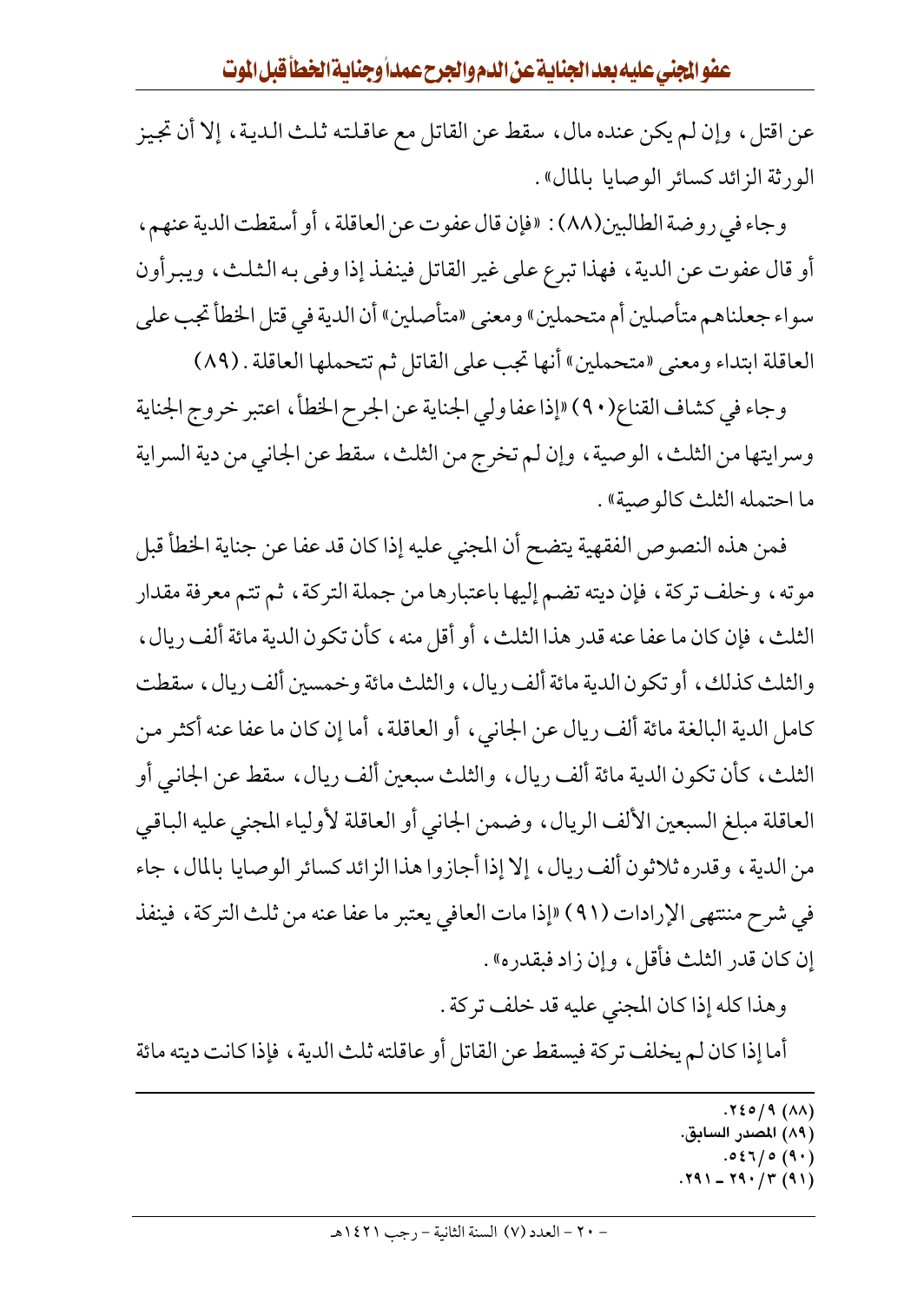عن اقتل، وإن لم يكن عنده مال، سقط عن القاتل مع عاقلته ثلث الدية، إلا أن تجيز الورثة الزائد كسائر الوصايا بالمال».

وجاء في روضة الطالبين(٨٨) : «فإن قال عفوت عن العاقلة ، أو أسقطت الدية عنهم ، أو قال عفوت عن الدية ، فهذا تبرع على غير القاتل فينفذ إذا وفي به الثلث ، ويبرأون سواء جعلناهم متأصلين أم متحملين» ومعنى «متأصلين» أن الدية في قتل الخطأ تجب على العاقلة ابتداء ومعنى «متحملين» أنها تجب على القاتل ثم تتحملها العاقلة . (٨٩)

وجاء في كشاف القناع(٩٠) «إذا عفا ولي الجناية عن الجرح الخطأ ، اعتبر خروج الجناية وسرايتها من الثلث، الوصية، وإن لم تخرج من الثلث، سقط عن الجاني من دية السراية ما احتمله الثلث كالو صنة».

فمن هذه النصوص الفقهية يتضح أن المجنى عليه إذا كان قد عفا عن جناية الخطأ قبل موته، وخلف تركة، فإن ديته تضم إليها باعتبارها من جملة التركة، ثم تتم معرفة مقدار الثلث، فإن كان ما عفا عنه قدر هذا الثلث، أو أقل منه ، كأن تكون الدية مائة ألف ريال ، والثلث كذلك، أو تكون الدية مائة ألف ريال، والثلث مائة وخمسين ألف ريال، سقطت كامل الدية البالغة مائة ألف ريال عن الجانبي، أو العاقلة، أما إن كان ما عفا عنه أكثر من الثلث، كأن تكون الدية مائة ألف ريال، والثلث سبعين ألف ريال، سقط عن الجانبي أو العاقلة مبلغ السبعين الألف الريال، وضمن الجاني أو العاقلة لأولياء المجنى عليه الباقي من الدية ، وقدره ثلاثون ألف ريال ، إلا إذا أجازوا هذا الزائد كسائر الوصايا بالمال ، جاء في شرح مننتهي الإرادات (٩١) «إذا مات العافي يعتبر ما عفا عنه من ثلث التركة ، فينفذ إن كان قدر الثلث فأقل، وإن زاد فبقدره».

وهذا كله إذا كان المجنى عليه قد خلف تركة .

أما إذا كان لم يخلف تركة فيسقط عن القاتل أو عاقلته ثلث الدية ، فإذا كانت ديته مائة

 $.791 - 79.77 (91)$ 

 $.720/9(AA)$ 

<sup>(</sup>٨٩) المصدر السابق.

 $.057/0(9)$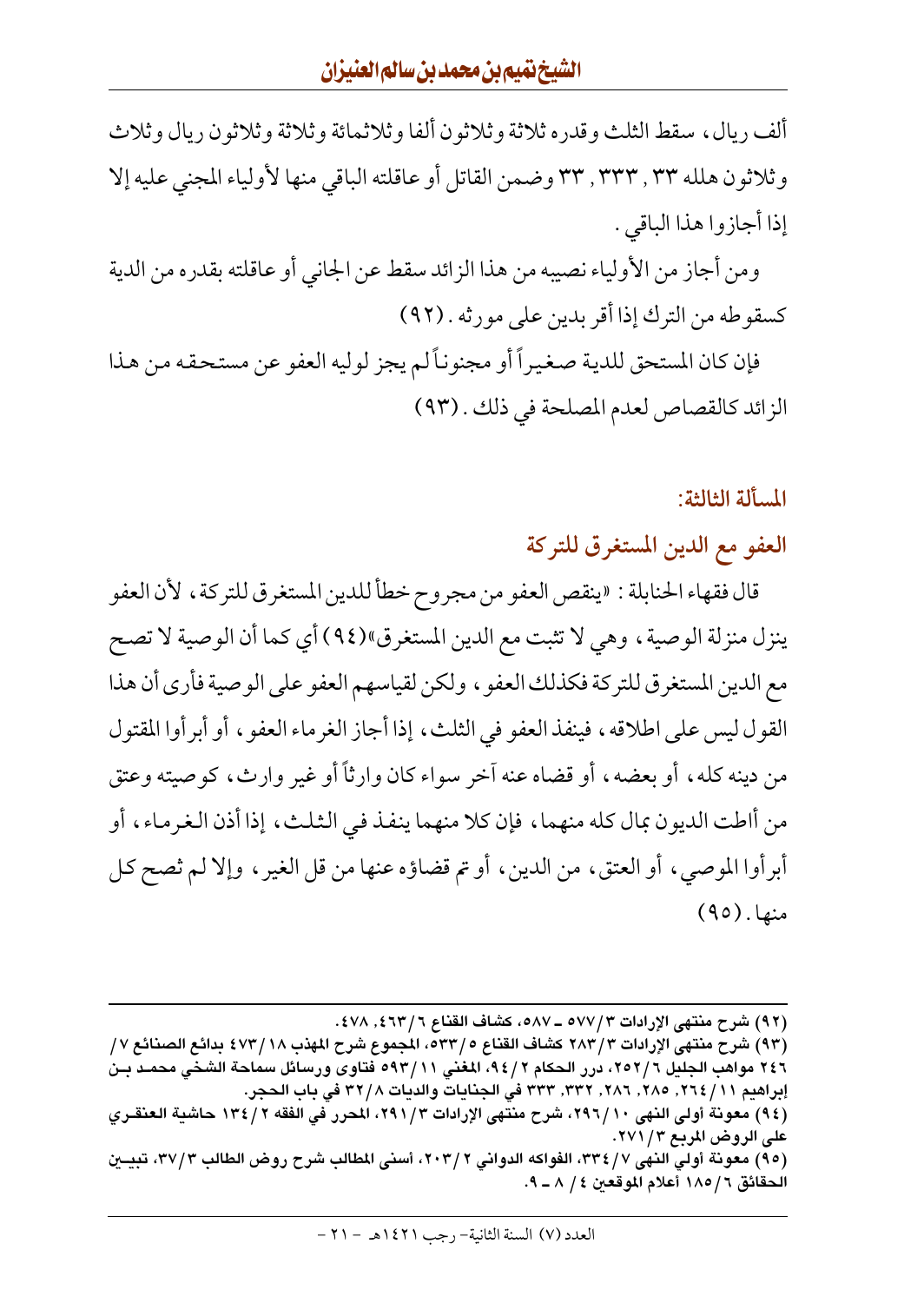ألف ريال، سقط الثلث وقدره ثلاثة وثلاثون ألفا وثلاثمائة وثلاثة وثلاثون ريال وثلاث وثلاثون هلله ٣٣ , ٣٣٣ , ٣٣ وضمن القاتل أو عاقلته الباقي منها لأولياء المجنى عليه إلا إذا أجازوا هذا الباقي .

ومن أجاز من الأولياء نصيبه من هذا الزائد سقط عن الجاني أو عاقلته بقدره من الدية كسقوطه من الترك إذا أقر بدين على مورثه . (٩٢)

فإن كان المستحق للدية صغيراً أو مجنوناً لم يجز لوليه العفو عن مستحقه من هذا الزائد كالقصاص لعدم المصلحة في ذلك . (٩٣)

المسألة الثالثة:

العفو مع الدين المستغرق للتركة

قال فقهاء الحنابلة : «ينقص العفو من مجروح خطأ للدين المستغرق للتركة ، لأن العفو ينزل منزلة الوصية ، وهي لا تثبت مع الدين المستغرق"(٩٤) أي كما أن الوصية لا تصح مع الدين المستغرق للتركة فكذلك العفو ، ولكن لقياسهم العفو على الوصية فأرى أن هذا القول ليس على اطلاقه ، فينفذ العفو في الثلث ، إذا أجاز الغرماء العفو ، أو أبرأوا المقتول من دينه كله، أو بعضه، أو قضاه عنه آخر سواء كان وارثاً أو غير وارث، كوصيته وعتق من أاطت الديون بمال كله منهما، فإن كلا منهما ينفذ في الثلث، إذا أذن الغرماء، أو أبرأوا الموصي، أو العتق، من الدين، أو تم قضاؤه عنها من قل الغير، وإلا لم ثصح كل منها. (٩٥)

(٩٤) معونة أولى النهي ٢٩٦/١٠، شرح منتهي الإرادات ٢٩١/٣، المحرر في الفقه ٢ /١٣٤ حاشية العنقـري على الروض المربع ٢٧١ / ٢٧١.

(٩٥) معونة أولى النهي ٣٣٤/٧، الفواكه الدواني ٢٠٣/٢، أسنى المطالب شرح روض الطالب ٣٧/٣، تبيــين الحقائق ٦ / ١٨٥ أعلام الموقعين ٤ / ٨ ـ ٩.

<sup>(</sup>٩٢) شرح منتهى الإرادات ٥٧٧/٣ ـ ٥٨٧، كشاف القناع ٤٦٣/٦, ٤٧٨.

<sup>(</sup>٩٣) شرح منتهى الإرادات ٢٨٣/٣ كشاف القناع ٢٣٣/٥، المجموع شرح المهذب ٤٧٣/١٨ بدائع الصنائع ٧٧ ٢٤٦ مواهب الجليل ٢٥٢/٦، درر الحكام ٩٤/٢، المغنى ٥٩٣/١١ فتاوى ورسائل سماحة الشخى محمـد بـن إبراهيم ٢ / / ٢٢٤, ٢٨٥, ٢٨٦, ٣٣٢, ٣٣٣ في الجنايات والديات ٣٢/٨ في باب الحجر.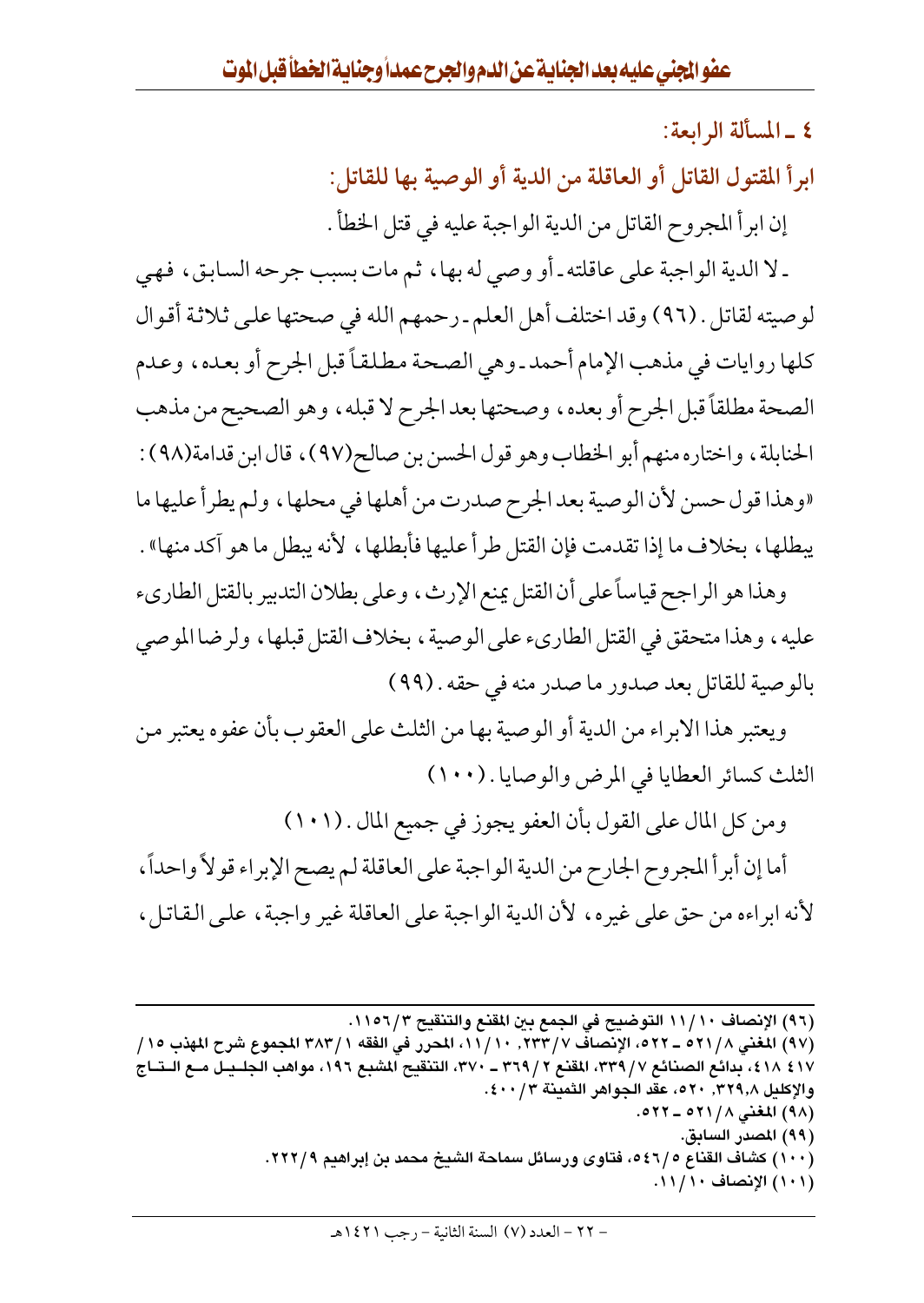٤ \_ المسألة الرابعة:

ابرأ المقتول القاتل أو العاقلة من الدية أو الوصية بها للقاتل:

إن ابرأ المجروح القاتل من الدية الواجبة عليه في قتل الخطأ .

ـ لا الدية الواجبة على عاقلته ـ أو وصي له بها ، ثم مات بسبب جرحه السابق ، فهي لوصيته لقاتل . (٩٦) وقد اختلف أهل العلم ـ رحمهم الله في صحتها على ثلاثة أقوال كلها روايات في مذهب الإمام أحمد ـ وهي الصحة مطلقاً قبل الجرح أو بعده، وعدم الصحة مطلقاً قبل الجرح أو بعده، وصحتها بعد الجرح لا قبله، وهو الصحيح من مذهب الحنابلة ، واختاره منهم أبو الخطاب وهو قول الحسن بن صالح(٩٧) ، قال ابن قدامة(٩٨) : «وهذا قول حسن لأن الوصية بعد الجرح صدرت من أهلها في محلها ، ولم يطرأ عليها ما يبطلها ، بخلاف ما إذا تقدمت فإن القتل طرأ عليها فأبطلها ، لأنه يبطل ما هو آكد منها» .

وهذا هو الراجح قياساً على أن القتل يمنع الإرث، وعلى بطلان التدبير بالقتل الطاريء عليه ، وهذا متحقق في القتل الطاريء على الوصية ، بخلاف القتل قبلها ، ولرضا الموصى بالوصية للقاتل بعد صدور ما صدر منه في حقه . (٩٩)

ويعتبر هذا الابراء من الدية أو الوصية بها من الثلث على العقوب بأن عفوه يعتبر من الثلث كسائر العطايا في المرض والوصايا . (١٠٠)

ومن كل المال على القول بأن العفو يجوز في جميع المال . (١٠١)

أما إن أبرأ المجروح الجارح من الدية الواجبة على العاقلة لم يصح الإبراء قولاً واحداً ، لأنه ابراءه من حق على غيره، لأن الدية الواجبة على العاقلة غير واجبة، على القاتل،

- (٩٩) المصدر السابق.
- (١٠٠) كشاف القناع ٥٤٦/٥، فتاوى ورسائل سماحة الشيخ محمد بن إبراهيم ٢٢٢/٩.

(١٠١) الإنصاف ١١/١١.

<sup>(</sup>٩٦) الإنصاف ١١/١١ التوضيح في الجمع بين المقنع والتنقيح ١١٥٦/٣.

<sup>(</sup>٩٧) المغنى ٢/ ٥٢١ \_ ٥٢٢، الإنصاف ٢٣٣/ ٧/ ١١، المحرر في الفقه ١ / ٣٨٣ المجموع شرح المهذب ١٥ / ٤١٧ ١٨٤، بدائع الصنائع ٣/ ٣٣٩، المقنع ٢ / ٣٦٩، – ٣٧٠، التنقيح المشبع ١٩٦، مواهب الجلــيـل مــع الــتــاج والإكليل ٣٢٩,٨. ٢٠٥، عقد الجواهر الثمينة ٤٠٠/٢. (٩٨) المغنى ٢١/٨ \_ ٥٢٢.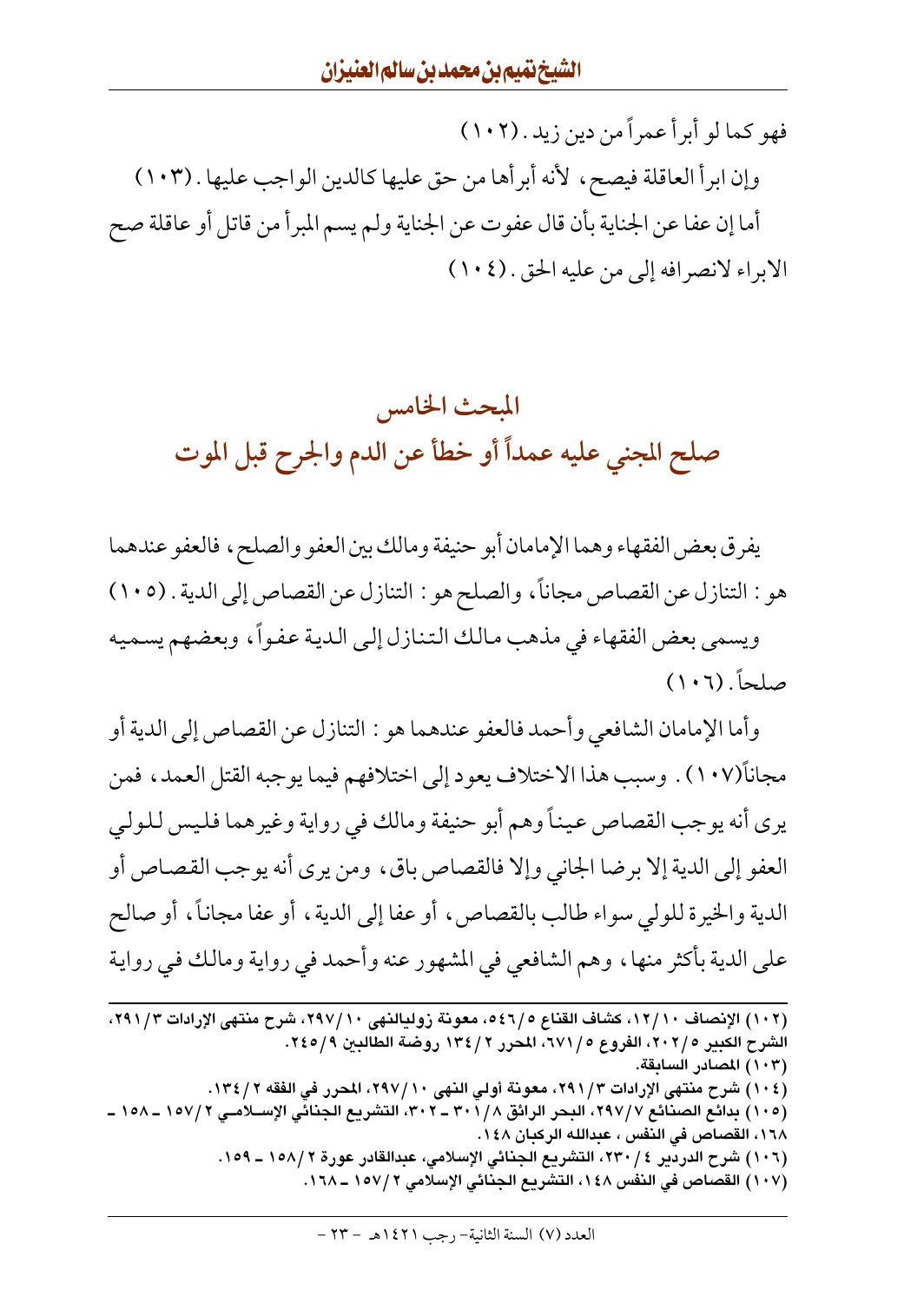فهو كما لو أبرأ عمراً من دين زيد . (١٠٢) وإن ابرأ العاقلة فيصح، لأنه أبرأها من حق عليها كالدين الواجب عليها . (١٠٣) أما إن عفا عن الجناية بأن قال عفوت عن الجناية ولم يسم المبرأ من قاتل أو عاقلة صح الابراء لانصرافه إلى من عليه الحق . (١٠٤)

## المبحث الخامس صلح المجني عليه عمداً أو خطأ عن الدم والجرح قبل الموت

يفرق بعض الفقهاء وهما الإمامان أبو حنيفة ومالك بين العفو والصلح ، فالعفو عندهما هو : التنازل عن القصاص مجاناً، والصلح هو : التنازل عن القصاص إلى الدية . (١٠٥) ويسمى بعض الفقهاء في مذهب مالك التنازل إلى الدية عفواً، وبعضهم يسميه صلحاً. (١٠٦)

وأما الإمامان الشافعي وأحمد فالعفو عندهما هو : التنازل عن القصاص إلى الدية أو مجانأ(١٠٧) . وسبب هذا الاختلاف يعود إلى اختلافهم فيما يوجبه القتل العمد، فمن يري أنه يوجب القصاص عيناً وهم أبو حنيفة ومالك في رواية وغيرهما فليس للولبي العفو إلى الدية إلا برضا الجاني وإلا فالقصاص باق، ومن يرى أنه يوجب القصاص أو الدية والخيرة للولى سواء طالب بالقصاص، أو عفا إلى الدية، أو عفا مجاناً، أو صالح على الدية بأكثر منها، وهم الشافعي في المشهور عنه وأحمد في رواية ومالك في رواية

(١٠٢) الإنصاف ١٢/١٠، كشاف القناع ٢/١٥، معونة زوليالنهي ١٠/ ٢٩٧، شرح منتهي الإرادات ٢٩١/٣، الشرح الكبير ٢٠٢/٥، الفروع ٢٧١/٥، المحرر ٢ / ١٣٤ روضة الطالبين ٢٤٥/٩. (١٠٣) المصادر السابقة. (١٠٤) شرح منتهي الإرادات ٢٩١/٣، معونة أولى النهي ٢٩٧/١٠، المحرر في الفقه ٢ / ١٣٤. (١٠٥) بدائع الصنائع ٢٩٧/٧، البحر الرائق ٣٠١/٨ - ٣٠٢، التشريع الجنائي الإســلامـي ٢ /١٥٧ ــ ١٥٨ ــ ١٦٨، القصاص في النفس ، عبدالله الركبان ١٤٨. (١٠٦) شرح الدردير ٢٣٠/٤، التشريع الجنائي الإسلامي، عبدالقادر عورة ١٥٨/٢ ـ ١٥٩. (١٠٧) القصاص في النفس ١٤٨، التشريع الجنائي الإسلامي ١٥٧/٢ ـ ١٦٨.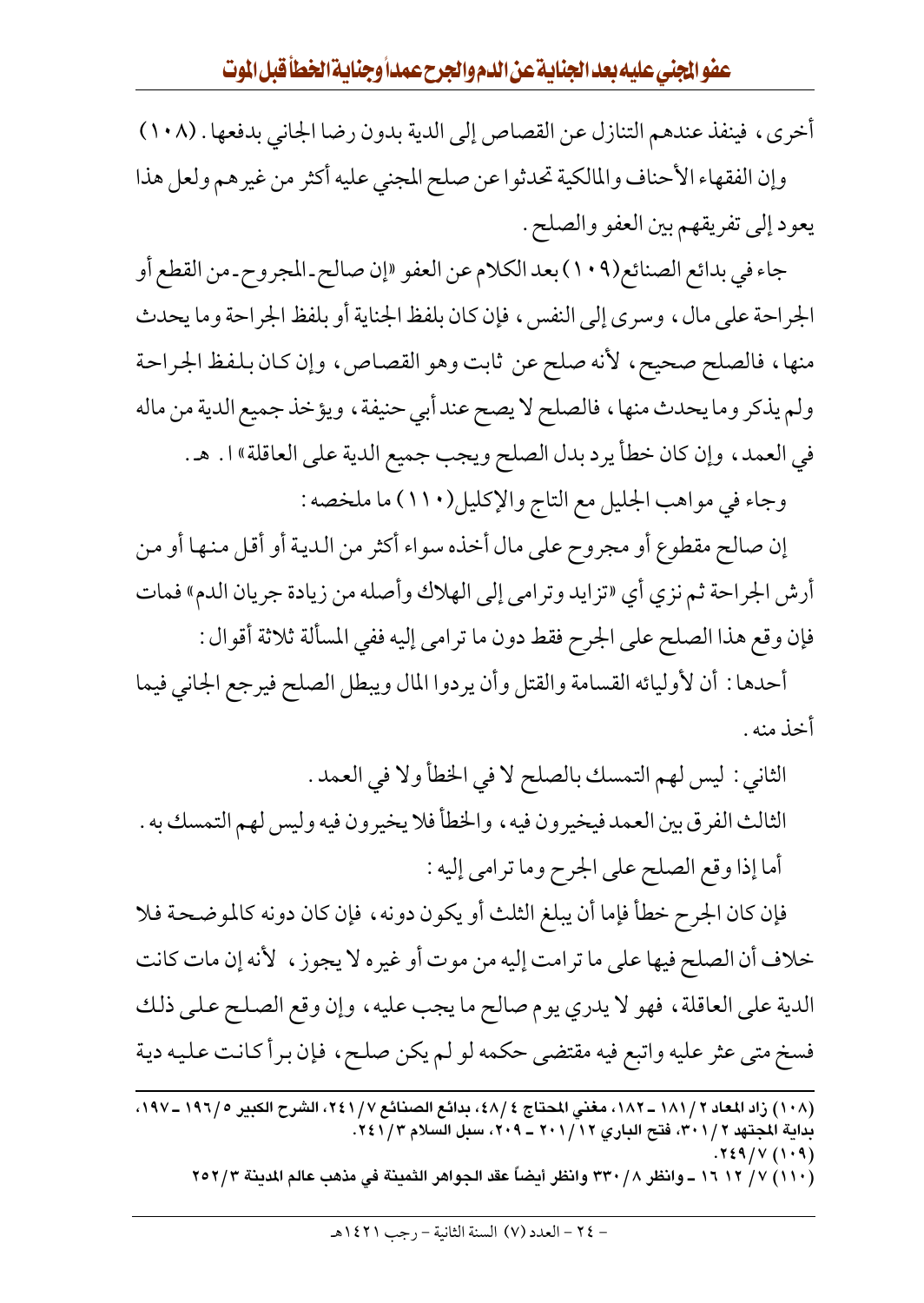أخرى، فينفذ عندهم التنازل عن القصاص إلى الدية بدون رضا الجاني بدفعها . (١٠٨) وإن الفقهاء الأحناف والمالكية تحدثوا عن صلح المجني عليه أكثر من غيرهم ولعل هذا يعود إلى تفريقهم بين العفو والصلح .

جاء في بدائع الصنائع(٩٠٩) بعد الكلام عن العفو «إن صالح ـ المجروح ـ من القطع أو الجراحة على مال، وسرى إلى النفس، فإن كان بلفظ الجناية أو بلفظ الجراحة وما يحدث منها، فالصلح صحيح، لأنه صلح عن ثابت وهو القصاص، وإن كان بلفظ الجراحة ولم يذكر وما يحدث منها، فالصلح لا يصح عند أبي حنيفة ، ويؤخذ جميع الدية من ماله في العمد، وإن كان خطأ يرد بدل الصلح ويجب جميع الدية على العاقلة» ا. هـ. وجاء في مواهب الجليل مع التاج والإكليل(١١٠) ما ملخصه :

إن صالح مقطوع أو مجروح على مال أخذه سواء أكثر من الدية أو أقل منها أو من أرش الجراحة ثم نزي أي «تزايد وترامي إلى الهلاك وأصله من زيادة جريان الدم» فمات فإن وقع هذا الصلح على الجرح فقط دون ما ترامى إليه ففي المسألة ثلاثة أقوال :

أحدها : أن لأوليائه القسامة والقتل وأن يردوا المال ويبطل الصلح فيرجع الجاني فيما أخذ منه .

الثاني : ليس لهم التمسك بالصلح لا في الخطأ ولا في العمد . الثالث الفرق بين العمد فيخيرون فيه ، والخطأ فلا يخيرون فيه وليس لهم التمسك به . أما إذا وقع الصلح على الجرح وما ترامي إليه : فإن كان الجرح خطأ فإما أن يبلغ الثلث أو يكون دونه ، فإن كان دونه كالموضحة فلا خلاف أن الصلح فيها على ما ترامت إليه من موت أو غيره لا يجوز ، لأنه إن مات كانت

الدية على العاقلة ، فهو لا يدري يوم صالح ما يجب عليه ، وإن وقع الصلح على ذلك فسخ متى عثر عليه واتبع فيه مقتضى حكمه لو لم يكن صلح، فإن برأ كانت عليه دية

(١١٠) ٧/ ١٦ ١٦ ــ وانظر ٢٣٠ / ٣٣٠ وانظر أيضاً عقد الجواهر الثمينة في مذهب عالم المدينة ٢٥٢/٣

<sup>(</sup>١٠٨) زاد المعاد ٢ / ١٨١ ــ ١٨٢، مغنى المحتاج ٤ /٤٨، بدائع الصنائع ٧ / ٢٤١، الشرح الكبير. ١٩٦/ ـ ١٩٧٠. بداية المجتهد ٣٠١/٢، فتح الباري ٢٠١/١٢ ـ ٢٠٩، سبل السلام ٢٤١/٣.  $.729/V(1.9)$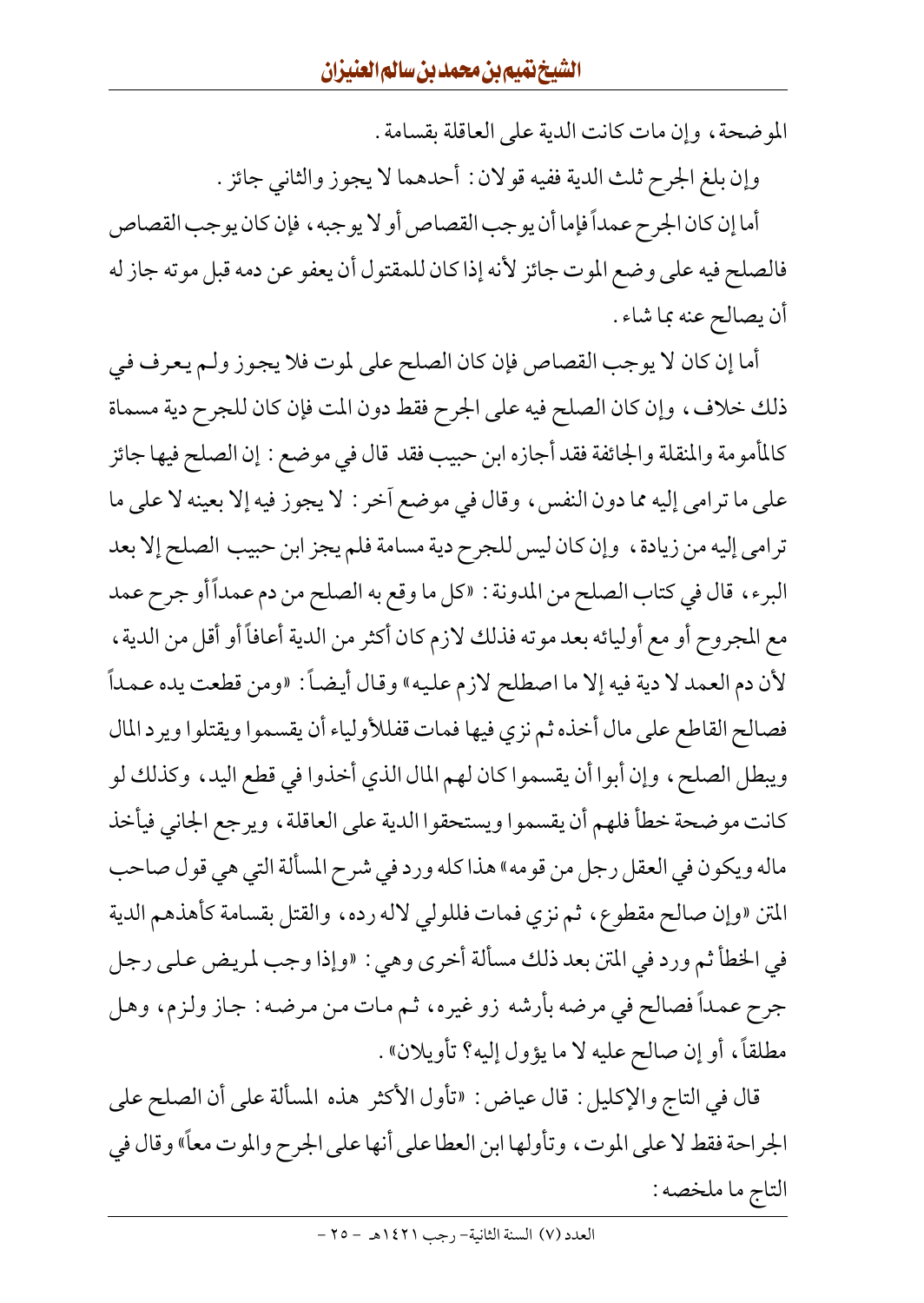الموضحة، وإن مات كانت الدية على العاقلة بقسامة .

وإن بلغ الجرح ثلث الدية ففيه قولان : أحدهما لا يجوز والثاني جائز .

أما إن كان الجرح عمداً فإما أن يوجب القصاص أو لا يوجبه ، فإن كان يوجب القصاص فالصلح فيه على وضع الموت جائز لأنه إذا كان للمقتول أن يعفو عن دمه قبل موته جاز له أن يصالح عنه بما شاء .

أما إن كان لا يوجب القصاص فإن كان الصلح على لموت فلا يجوز ولم يعرف في ذلك خلاف، وإن كان الصلح فيه على الجرح فقط دون المت فإن كان للجرح دية مسماة كالمأمومة والمنقلة والجائفة فقد أجازه ابن حبيب فقد قال في موضع : إن الصلح فيها جائز على ما ترامي إليه مما دون النفس، وقال في موضع أخر : لا يجوز فيه إلا بعينه لا على ما ترامي إليه من زيادة ، وإن كان ليس للجرح دية مسامة فلم يجز ابن حبيب الصلح إلا بعد البرء ، قال في كتاب الصلح من المدونة : «كل ما وقع به الصلح من دم عمداً أو جرح عمد مع المجروح أو مع أوليائه بعد موته فذلك لازم كان أكثر من الدية أعافاً أو أقل من الدية، لأن دم العمد لا دية فيه إلا ما اصطلح لازم عليه» وقال أيضاً : «ومن قطعت يده عـمداً فصالح القاطع على مال أخذه ثم نزى فيها فمات قفللأولياء أن يقسموا ويقتلوا ويرد المال ويبطل الصلح، وإن أبوا أن يقسموا كان لهم المال الذي أخذوا في قطع اليد، وكذلك لو كانت موضحة خطأ فلهم أن يقسموا ويستحقوا الدية على العاقلة ، ويرجع الجاني فيأخذ ماله ويكون في العقل رجل من قومه» هذا كله ورد في شرح المسألة التي هي قول صاحب المتن «وإن صالح مقطوع، ثم نزي فمات فللولي لاله رده، والقتل بقسامة كأهذهم الدية في الخطأ ثم ورد في المتن بعد ذلك مسألة أخرى وهي : «وإذا وجب لمريض على رجل جرح عمداً فصالح في مرضه بأرشه زو غيره، ثم مات من مرضه : جاز ولزم، وهل مطلقاً، أو إن صالح عليه لا ما يؤول إليه؟ تأويلان» .

قال في التاج والإكليل : قال عياض : «تأول الأكثر هذه المسألة على أن الصلح على الجراحة فقط لا على الموت، وتأولها ابن العطا على أنها على الجرح والموت معاً» وقال في التاج ما ملخصه :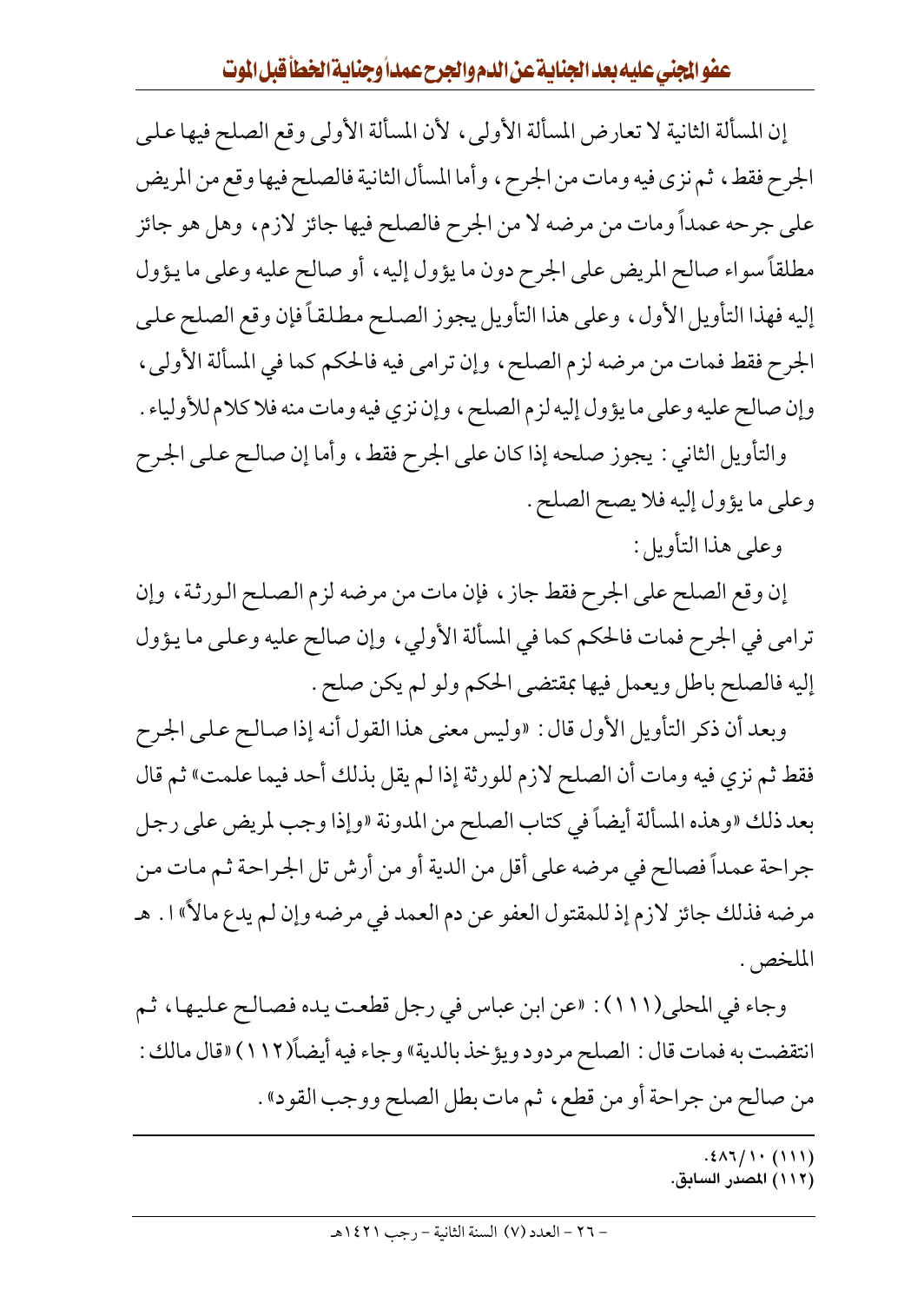إن المسألة الثانية لا تعارض المسألة الأولى، لأن المسألة الأولى وقع الصلح فيها على الجرح فقط، ثم نزى فيه ومات من الجرح، وأما المسأل الثانية فالصلح فيها وقع من المريض على جرحه عمداً ومات من مرضه لا من الجرح فالصلح فيها جائز لازم، وهل هو جائز مطلقاً سواء صالح المريض على الجرح دون ما يؤول إليه ، أو صالح عليه وعلى ما يؤول إليه فهذا التأويل الأول، وعلى هذا التأويل يجوز الصلح مطلقاً فإن وقع الصلح على الجرح فقط فمات من مرضه لزم الصلح، وإن ترامي فيه فالحكم كما في المسألة الأولى، وإن صالح عليه وعلى ما يؤول إليه لزم الصلح ، وإن نزي فيه ومات منه فلا كلام للأولياء . والتأويل الثاني : يجوز صلحه إذا كان على الجرح فقط، وأما إن صالح على الجرح

- وعلى ما يؤول إليه فلا يصح الصلح .
	- وعلى هذا التأويل :

إن وقع الصلح على الجرح فقط جاز ، فإن مات من مرضه لزم الصلح الورثة ، وإن ترامي في الجرح فمات فالحكم كما في المسألة الأولي ، وإن صالح عليه وعلى ما يؤول إليه فالصلح باطل ويعمل فيها بمقتضى الحكم ولو لم يكن صلح .

وبعد أن ذكر التأويل الأول قال : «وليس معنى هذا القول أنه إذا صالح على الجرح فقط ثم نزي فيه ومات أن الصلح لازم للورثة إذا لم يقل بذلك أحد فيما علمت» ثم قال بعد ذلك «وهذه المسألة أيضاً في كتاب الصلح من المدونة «وإذا وجب لمريض على رجل جراحة عمداً فصالح في مرضه على أقل من الدية أو من أرش تل الجراحة ثم مات من مرضه فذلك جائز لازم إذ للمقتول العفو عن دم العمد في مرضه وإن لم يدع مالاً» ا . هـ الملخص .

وجاء في المحلي(١١١): «عن ابن عباس في رجل قطعت يده فصالح عليها، ثم انتقضت به فمات قال : الصلح مردود ويؤخذ بالدية» وجاء فيه أيضاً(١١٢) «قال مالك : من صالح من جراحة أو من قطع، ثم مات بطل الصلح ووجب القود» .

 $.21111 (111)$ 

(١١٢) المصدر السابق.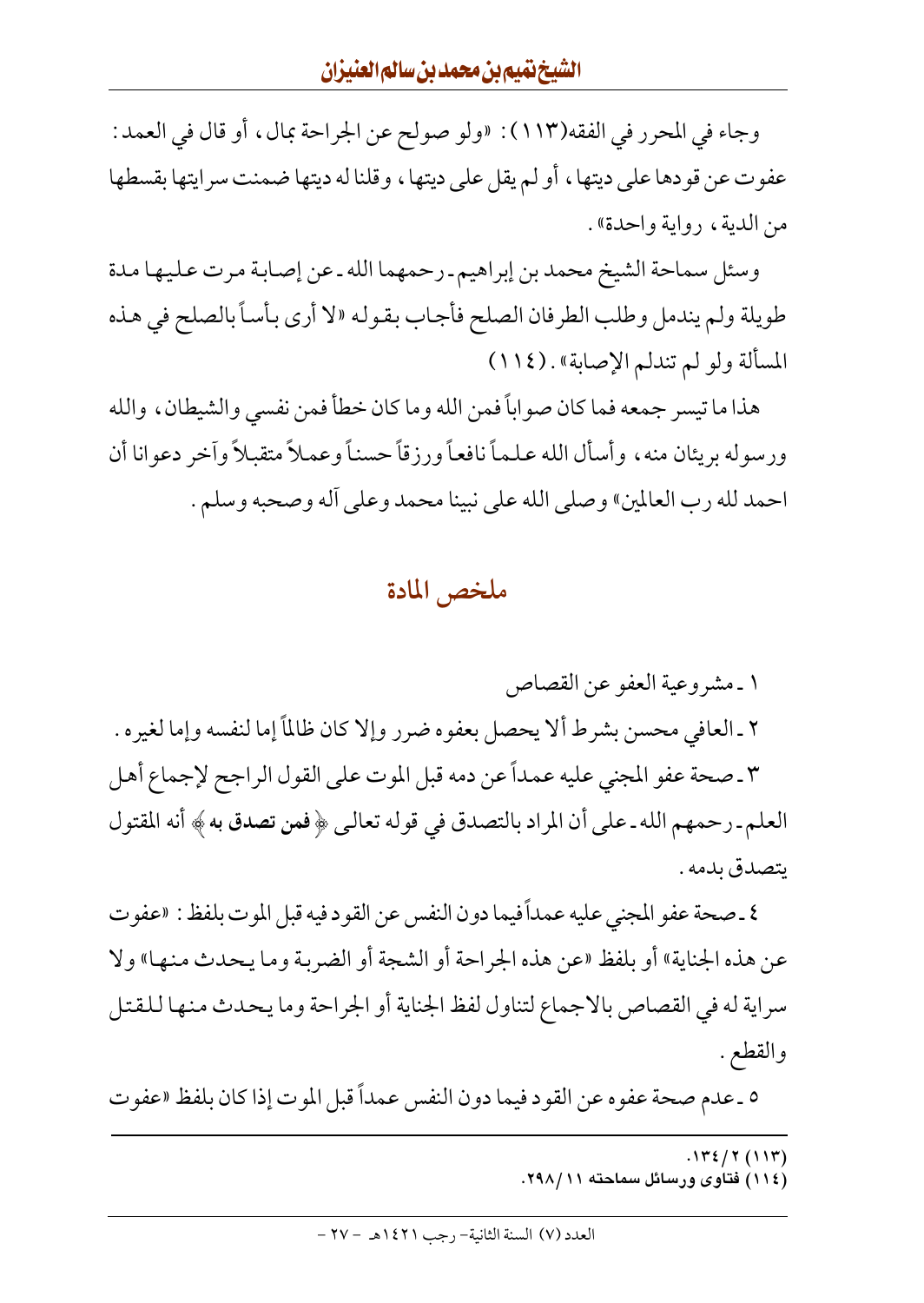وجاء في المحرر في الفقه(١١٣): «ولو صولح عن الجراحة بمال، أو قال في العمد: عفوت عن قودها على ديتها ، أو لـم يقل على ديتها ، وقلنا له ديتها ضمنت سرايتها بقسطها من الدية، رواية واحدة».

وسئل سماحة الشيخ محمد بن إبراهيم ـ رحمهما الله ـ عن إصابة مرت عليها مدة طويلة ولم يندمل وطلب الطرفان الصلح فأجاب بقوله «لا أرى بأساً بالصلح في هذه المسألة ولو لم تندلم الإصابة» . (١١٤)

هذا ما تيسر جمعه فما كان صواباً فمن الله وما كان خطأ فمن نفسي والشيطان ، والله ورسوله بريئان منه، وأسأل الله علماً نافعاً ورزقاً حسناً وعملاً متقبلاً وآخر دعوانا أن احمد لله رب العالمين» وصلى الله على نبينا محمد وعلى أله وصحبه وسلم .

#### ملخص المادة

١ ـ مشروعية العفو عن القصاص

٢ ـ العافي محسن بشرط ألا يحصل بعفوه ضرر وإلا كان ظالمًا إما لنفسه وإما لغيره .

٣ ـ صحة عفو المجنى عليه عمداً عن دمه قبل الموت على القول الراجح لإجماع أهل العلم ـ رحمهم الله ـ على أن المراد بالتصدق في قوله تعالىي ﴿ فَمِن تصدق به ﴾ أنه المقتول يتصدق بدمه .

٤ ـ صحة عفو المجنى عليه عمداً فيما دون النفس عن القود فيه قبل الموت بلفظ : «عفوت عن هذه الجناية» أو بلفظ «عن هذه الجراحة أو الشجة أو الضربة وما يحدث منها» ولا سراية له في القصاص بالاجماع لتناول لفظ الجناية أو الجراحة وما يحدث منها للقتل والقطع .

٥ ـ عدم صحة عفوه عن القود فيما دون النفس عمداً قبل الموت إذا كان بلفظ «عفوت

- $.112 / 7 (117)$
- (۱۱٤) فتاوی ورسائل سماحته ۲۹۸/۱۱.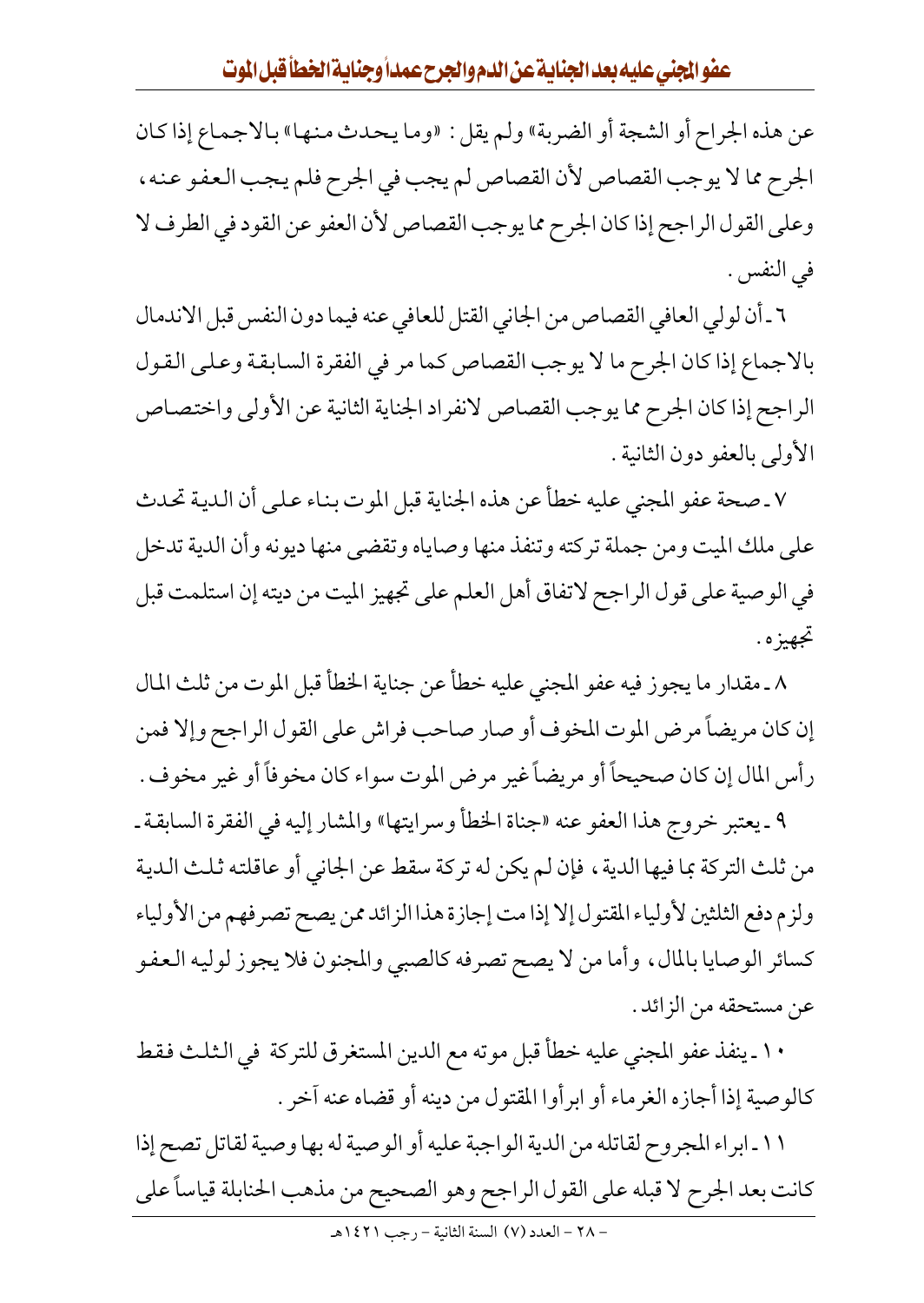عفوالجنى عليه بعد الجناية عن الدم والجرح عمداً وجناية الخطأ قبل الموت

عن هذه الجراح أو الشجة أو الضربة» ولم يقل : «وما يحدث منها» بالاجماع إذا كان الجرح مما لا يوجب القصاص لأن القصاص لم يجب في الجرح فلم يجب العفو عنه، وعلى القول الراجح إذا كان الجرح مما يوجب القصاص لأن العفو عن القود في الطرف لا في النفس .

٦ ـ أن لولي العافي القصاص من الجاني القتل للعافي عنه فيما دون النفس قبل الاندمال بالاجماع إذا كان الجرح ما لا يوجب القصاص كما مر في الفقرة السابقة وعلى القول الراجح إذا كان الجرح مما يوجب القصاص لانفراد الجناية الثانية عن الأولى واختصاص الأولى بالعفو دون الثانية .

٧ ـ صحة عفو المجنى عليه خطأ عن هذه الجناية قبل الموت بناء علىي أن الدية تحدث على ملك الميت ومن جملة تركته وتنفذ منها وصاياه وتقضى منها ديونه وأن الدية تدخل في الوصية على قول الراجح لاتفاق أهل العلم على تجهيز الميت من ديته إن استلمت قبل تجهيزه .

٨ ـ مقدار ما يجوز فيه عفو المجنى عليه خطأ عن جناية الخطأ قبل الموت من ثلث المال إن كان مريضاً مرض الموت المخوف أو صار صاحب فراش على القول الراجح وإلا فمن رأس المال إن كان صحيحاً أو مريضاً غير مرض الموت سواء كان مخوفاً أو غير مخوف .

٩ ـ يعتبر خروج هذا العفو عنه «جناة الخطأ وسرايتها» والمشار إليه في الفقرة السابقة ـ من ثلث التركة بما فيها الدية ، فإن لم يكن له تركة سقط عن الجاني أو عاقلته ثلث الدية ولزم دفع الثلثين لأولياء المقتول إلا إذا مت إجازة هذا الزائد ممن يصح تصرفهم من الأولياء كسائر الوصايا بالمال، وأما من لا يصح تصرفه كالصبي والمجنون فلا يجوز لوليه العفو عن مستحقه من الزائد .

١٠ ـ ينفذ عفو المجنى عليه خطأ قبل موته مع الدين المستغرق للتركة في الثلث فقط كالوصية إذا أجازه الغرماء أو ابرأوا المقتول من دينه أو قضاه عنه آخر .

١١ ـ ابراء المجروح لقاتله من الدية الواجبة عليه أو الوصية له بها وصية لقاتل تصح إذا كانت بعد الجرح لا قبله على القول الراجح وهو الصحيح من مذهب الحنابلة قياساً على - ٢٨ - العدد (٧) السنة الثانية - رجب ١٤٢١هـ